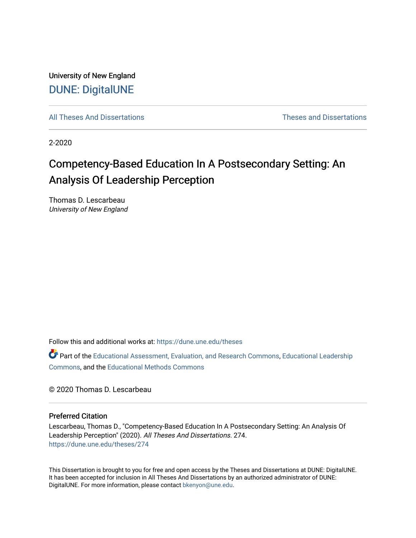University of New England [DUNE: DigitalUNE](https://dune.une.edu/) 

[All Theses And Dissertations](https://dune.une.edu/theses) [Theses and Dissertations](https://dune.une.edu/theses_dissertations) 

2-2020

# Competency-Based Education In A Postsecondary Setting: An Analysis Of Leadership Perception

Thomas D. Lescarbeau University of New England

Follow this and additional works at: [https://dune.une.edu/theses](https://dune.une.edu/theses?utm_source=dune.une.edu%2Ftheses%2F274&utm_medium=PDF&utm_campaign=PDFCoverPages) 

Part of the [Educational Assessment, Evaluation, and Research Commons](http://network.bepress.com/hgg/discipline/796?utm_source=dune.une.edu%2Ftheses%2F274&utm_medium=PDF&utm_campaign=PDFCoverPages), [Educational Leadership](http://network.bepress.com/hgg/discipline/1230?utm_source=dune.une.edu%2Ftheses%2F274&utm_medium=PDF&utm_campaign=PDFCoverPages) [Commons](http://network.bepress.com/hgg/discipline/1230?utm_source=dune.une.edu%2Ftheses%2F274&utm_medium=PDF&utm_campaign=PDFCoverPages), and the [Educational Methods Commons](http://network.bepress.com/hgg/discipline/1227?utm_source=dune.une.edu%2Ftheses%2F274&utm_medium=PDF&utm_campaign=PDFCoverPages) 

© 2020 Thomas D. Lescarbeau

# Preferred Citation

Lescarbeau, Thomas D., "Competency-Based Education In A Postsecondary Setting: An Analysis Of Leadership Perception" (2020). All Theses And Dissertations. 274. [https://dune.une.edu/theses/274](https://dune.une.edu/theses/274?utm_source=dune.une.edu%2Ftheses%2F274&utm_medium=PDF&utm_campaign=PDFCoverPages)

This Dissertation is brought to you for free and open access by the Theses and Dissertations at DUNE: DigitalUNE. It has been accepted for inclusion in All Theses And Dissertations by an authorized administrator of DUNE: DigitalUNE. For more information, please contact [bkenyon@une.edu.](mailto:bkenyon@une.edu)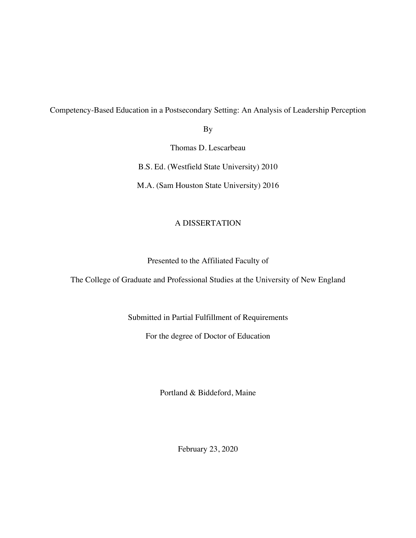Competency-Based Education in a Postsecondary Setting: An Analysis of Leadership Perception

By

Thomas D. Lescarbeau

B.S. Ed. (Westfield State University) 2010

M.A. (Sam Houston State University) 2016

# A DISSERTATION

# Presented to the Affiliated Faculty of

The College of Graduate and Professional Studies at the University of New England

Submitted in Partial Fulfillment of Requirements

For the degree of Doctor of Education

Portland & Biddeford, Maine

February 23, 2020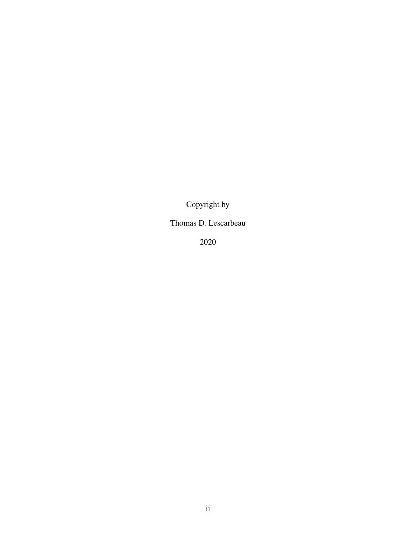Copyright by

# Thomas D. Lescarbeau

2020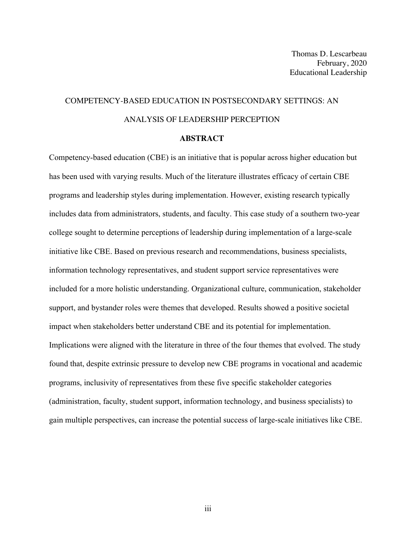# COMPETENCY-BASED EDUCATION IN POSTSECONDARY SETTINGS: AN ANALYSIS OF LEADERSHIP PERCEPTION

# **ABSTRACT**

Competency-based education (CBE) is an initiative that is popular across higher education but has been used with varying results. Much of the literature illustrates efficacy of certain CBE programs and leadership styles during implementation. However, existing research typically includes data from administrators, students, and faculty. This case study of a southern two-year college sought to determine perceptions of leadership during implementation of a large-scale initiative like CBE. Based on previous research and recommendations, business specialists, information technology representatives, and student support service representatives were included for a more holistic understanding. Organizational culture, communication, stakeholder support, and bystander roles were themes that developed. Results showed a positive societal impact when stakeholders better understand CBE and its potential for implementation. Implications were aligned with the literature in three of the four themes that evolved. The study found that, despite extrinsic pressure to develop new CBE programs in vocational and academic programs, inclusivity of representatives from these five specific stakeholder categories (administration, faculty, student support, information technology, and business specialists) to gain multiple perspectives, can increase the potential success of large-scale initiatives like CBE.

iii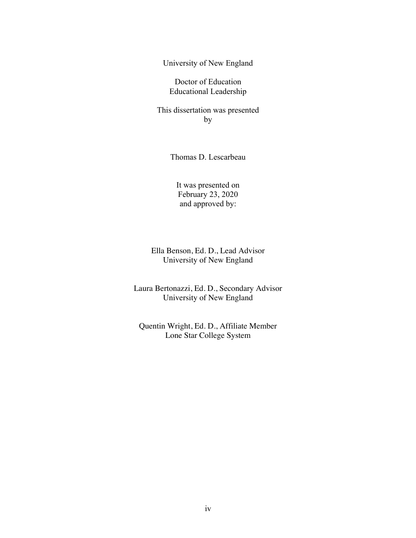University of New England

Doctor of Education Educational Leadership

This dissertation was presented by

Thomas D. Lescarbeau

It was presented on February 23, 2020 and approved by:

Ella Benson, Ed. D., Lead Advisor University of New England

Laura Bertonazzi, Ed. D., Secondary Advisor University of New England

Quentin Wright, Ed. D., Affiliate Member Lone Star College System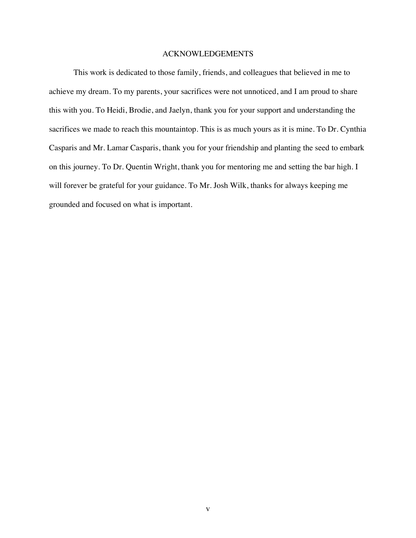# ACKNOWLEDGEMENTS

This work is dedicated to those family, friends, and colleagues that believed in me to achieve my dream. To my parents, your sacrifices were not unnoticed, and I am proud to share this with you. To Heidi, Brodie, and Jaelyn, thank you for your support and understanding the sacrifices we made to reach this mountaintop. This is as much yours as it is mine. To Dr. Cynthia Casparis and Mr. Lamar Casparis, thank you for your friendship and planting the seed to embark on this journey. To Dr. Quentin Wright, thank you for mentoring me and setting the bar high. I will forever be grateful for your guidance. To Mr. Josh Wilk, thanks for always keeping me grounded and focused on what is important.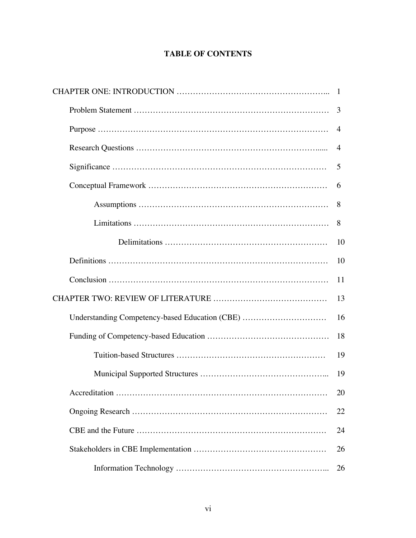# **TABLE OF CONTENTS**

|                                                | 3              |
|------------------------------------------------|----------------|
|                                                | $\overline{4}$ |
|                                                | 4              |
|                                                | 5              |
|                                                | 6              |
|                                                | 8              |
|                                                | 8              |
|                                                | 10             |
|                                                | 10             |
|                                                | 11             |
|                                                |                |
| Understanding Competency-based Education (CBE) | 16             |
|                                                | 18             |
|                                                | 19             |
|                                                | 19             |
|                                                | 20             |
|                                                | 22             |
|                                                | 24             |
|                                                | 26             |
|                                                | 26             |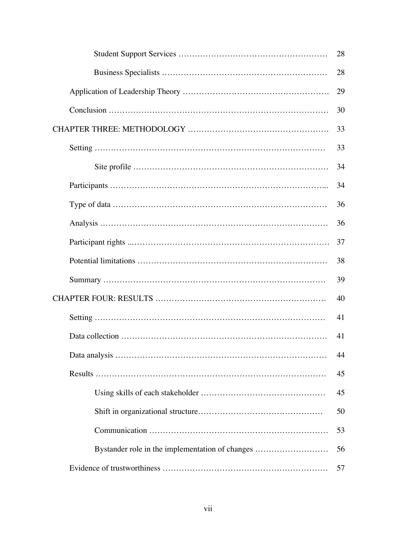|                                                 | 28 |  |
|-------------------------------------------------|----|--|
|                                                 | 28 |  |
|                                                 | 29 |  |
|                                                 | 30 |  |
|                                                 |    |  |
|                                                 | 33 |  |
|                                                 | 34 |  |
|                                                 | 34 |  |
|                                                 | 36 |  |
|                                                 | 36 |  |
|                                                 | 37 |  |
|                                                 | 38 |  |
|                                                 | 39 |  |
|                                                 |    |  |
|                                                 | 41 |  |
|                                                 | 41 |  |
|                                                 | 44 |  |
|                                                 | 45 |  |
|                                                 | 45 |  |
|                                                 | 50 |  |
|                                                 | 53 |  |
| Bystander role in the implementation of changes | 56 |  |
|                                                 | 57 |  |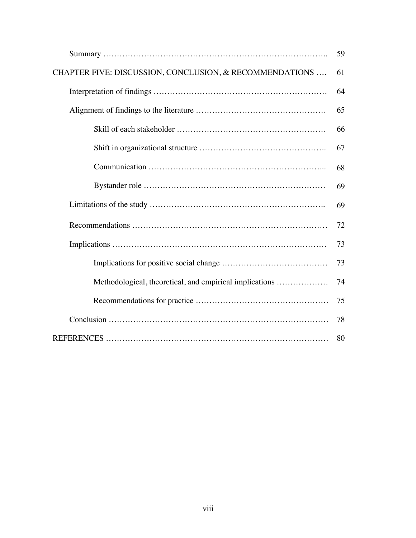|                                                         | 59 |
|---------------------------------------------------------|----|
| CHAPTER FIVE: DISCUSSION, CONCLUSION, & RECOMMENDATIONS | 61 |
|                                                         | 64 |
|                                                         | 65 |
|                                                         | 66 |
|                                                         | 67 |
|                                                         | 68 |
|                                                         | 69 |
|                                                         | 69 |
|                                                         | 72 |
|                                                         | 73 |
|                                                         | 73 |
| Methodological, theoretical, and empirical implications | 74 |
|                                                         | 75 |
|                                                         | 78 |
|                                                         | 80 |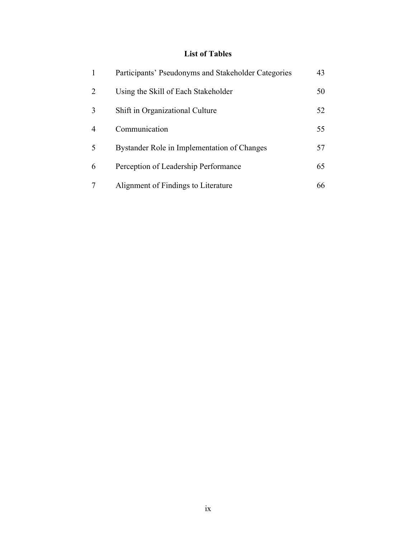# **List of Tables**

| 1 | Participants' Pseudonyms and Stakeholder Categories | 43 |
|---|-----------------------------------------------------|----|
| 2 | Using the Skill of Each Stakeholder                 | 50 |
| 3 | Shift in Organizational Culture                     | 52 |
| 4 | Communication                                       | 55 |
| 5 | Bystander Role in Implementation of Changes         | 57 |
| 6 | Perception of Leadership Performance                | 65 |
|   | Alignment of Findings to Literature                 | 66 |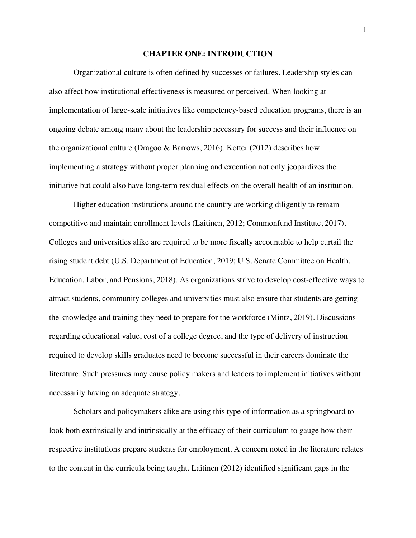#### **CHAPTER ONE: INTRODUCTION**

Organizational culture is often defined by successes or failures. Leadership styles can also affect how institutional effectiveness is measured or perceived. When looking at implementation of large-scale initiatives like competency-based education programs, there is an ongoing debate among many about the leadership necessary for success and their influence on the organizational culture (Dragoo & Barrows, 2016). Kotter (2012) describes how implementing a strategy without proper planning and execution not only jeopardizes the initiative but could also have long-term residual effects on the overall health of an institution.

Higher education institutions around the country are working diligently to remain competitive and maintain enrollment levels (Laitinen, 2012; Commonfund Institute, 2017). Colleges and universities alike are required to be more fiscally accountable to help curtail the rising student debt (U.S. Department of Education, 2019; U.S. Senate Committee on Health, Education, Labor, and Pensions, 2018). As organizations strive to develop cost-effective ways to attract students, community colleges and universities must also ensure that students are getting the knowledge and training they need to prepare for the workforce (Mintz, 2019). Discussions regarding educational value, cost of a college degree, and the type of delivery of instruction required to develop skills graduates need to become successful in their careers dominate the literature. Such pressures may cause policy makers and leaders to implement initiatives without necessarily having an adequate strategy.

Scholars and policymakers alike are using this type of information as a springboard to look both extrinsically and intrinsically at the efficacy of their curriculum to gauge how their respective institutions prepare students for employment. A concern noted in the literature relates to the content in the curricula being taught. Laitinen (2012) identified significant gaps in the

1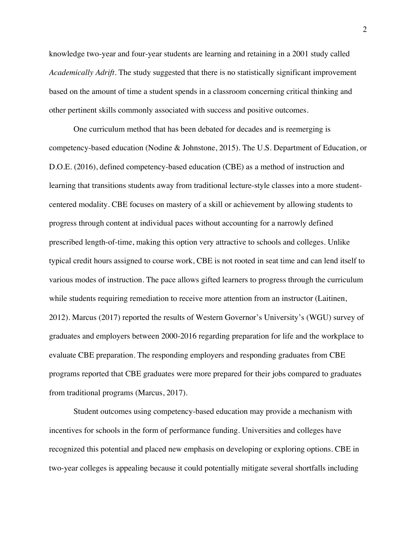knowledge two-year and four-year students are learning and retaining in a 2001 study called *Academically Adrift*. The study suggested that there is no statistically significant improvement based on the amount of time a student spends in a classroom concerning critical thinking and other pertinent skills commonly associated with success and positive outcomes.

One curriculum method that has been debated for decades and is reemerging is competency-based education (Nodine & Johnstone, 2015). The U.S. Department of Education, or D.O.E. (2016), defined competency-based education (CBE) as a method of instruction and learning that transitions students away from traditional lecture-style classes into a more studentcentered modality. CBE focuses on mastery of a skill or achievement by allowing students to progress through content at individual paces without accounting for a narrowly defined prescribed length-of-time, making this option very attractive to schools and colleges. Unlike typical credit hours assigned to course work, CBE is not rooted in seat time and can lend itself to various modes of instruction. The pace allows gifted learners to progress through the curriculum while students requiring remediation to receive more attention from an instructor (Laitinen, 2012). Marcus (2017) reported the results of Western Governor's University's (WGU) survey of graduates and employers between 2000-2016 regarding preparation for life and the workplace to evaluate CBE preparation. The responding employers and responding graduates from CBE programs reported that CBE graduates were more prepared for their jobs compared to graduates from traditional programs (Marcus, 2017).

Student outcomes using competency-based education may provide a mechanism with incentives for schools in the form of performance funding. Universities and colleges have recognized this potential and placed new emphasis on developing or exploring options. CBE in two-year colleges is appealing because it could potentially mitigate several shortfalls including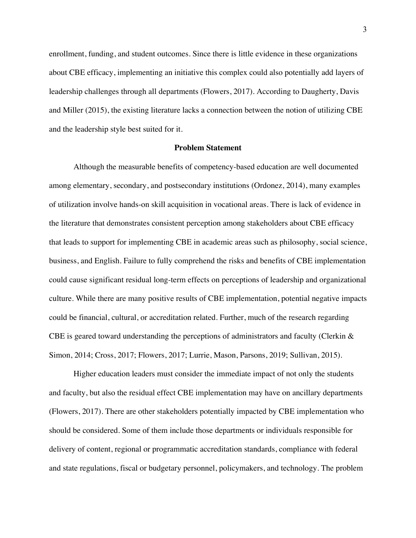enrollment, funding, and student outcomes. Since there is little evidence in these organizations about CBE efficacy, implementing an initiative this complex could also potentially add layers of leadership challenges through all departments (Flowers, 2017). According to Daugherty, Davis and Miller (2015), the existing literature lacks a connection between the notion of utilizing CBE and the leadership style best suited for it.

## **Problem Statement**

Although the measurable benefits of competency-based education are well documented among elementary, secondary, and postsecondary institutions (Ordonez, 2014), many examples of utilization involve hands-on skill acquisition in vocational areas. There is lack of evidence in the literature that demonstrates consistent perception among stakeholders about CBE efficacy that leads to support for implementing CBE in academic areas such as philosophy, social science, business, and English. Failure to fully comprehend the risks and benefits of CBE implementation could cause significant residual long-term effects on perceptions of leadership and organizational culture. While there are many positive results of CBE implementation, potential negative impacts could be financial, cultural, or accreditation related. Further, much of the research regarding CBE is geared toward understanding the perceptions of administrators and faculty (Clerkin & Simon, 2014; Cross, 2017; Flowers, 2017; Lurrie, Mason, Parsons, 2019; Sullivan, 2015).

Higher education leaders must consider the immediate impact of not only the students and faculty, but also the residual effect CBE implementation may have on ancillary departments (Flowers, 2017). There are other stakeholders potentially impacted by CBE implementation who should be considered. Some of them include those departments or individuals responsible for delivery of content, regional or programmatic accreditation standards, compliance with federal and state regulations, fiscal or budgetary personnel, policymakers, and technology. The problem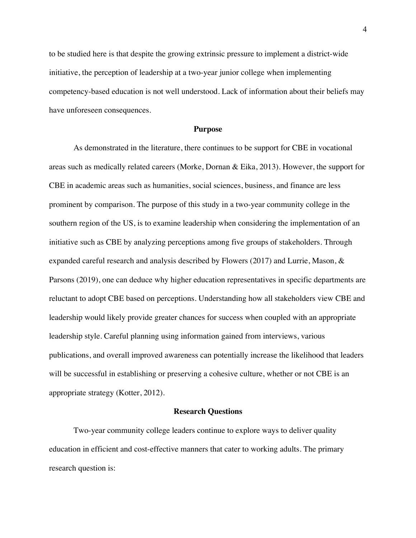to be studied here is that despite the growing extrinsic pressure to implement a district-wide initiative, the perception of leadership at a two-year junior college when implementing competency-based education is not well understood. Lack of information about their beliefs may have unforeseen consequences.

#### **Purpose**

As demonstrated in the literature, there continues to be support for CBE in vocational areas such as medically related careers (Morke, Dornan & Eika, 2013). However, the support for CBE in academic areas such as humanities, social sciences, business, and finance are less prominent by comparison. The purpose of this study in a two-year community college in the southern region of the US, is to examine leadership when considering the implementation of an initiative such as CBE by analyzing perceptions among five groups of stakeholders. Through expanded careful research and analysis described by Flowers (2017) and Lurrie, Mason,  $\&$ Parsons (2019), one can deduce why higher education representatives in specific departments are reluctant to adopt CBE based on perceptions. Understanding how all stakeholders view CBE and leadership would likely provide greater chances for success when coupled with an appropriate leadership style. Careful planning using information gained from interviews, various publications, and overall improved awareness can potentially increase the likelihood that leaders will be successful in establishing or preserving a cohesive culture, whether or not CBE is an appropriate strategy (Kotter, 2012).

## **Research Questions**

Two-year community college leaders continue to explore ways to deliver quality education in efficient and cost-effective manners that cater to working adults. The primary research question is: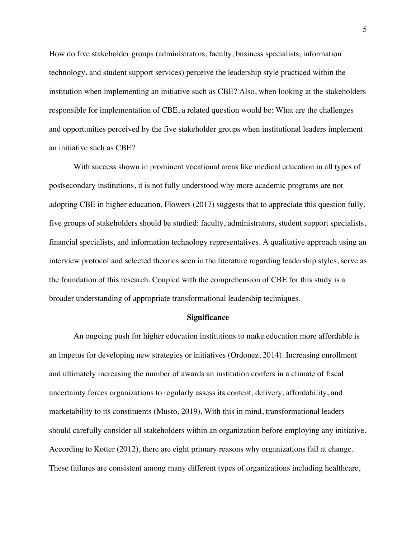How do five stakeholder groups (administrators, faculty, business specialists, information technology, and student support services) perceive the leadership style practiced within the institution when implementing an initiative such as CBE? Also, when looking at the stakeholders responsible for implementation of CBE, a related question would be: What are the challenges and opportunities perceived by the five stakeholder groups when institutional leaders implement an initiative such as CBE?

With success shown in prominent vocational areas like medical education in all types of postsecondary institutions, it is not fully understood why more academic programs are not adopting CBE in higher education. Flowers (2017) suggests that to appreciate this question fully, five groups of stakeholders should be studied: faculty, administrators, student support specialists, financial specialists, and information technology representatives. A qualitative approach using an interview protocol and selected theories seen in the literature regarding leadership styles, serve as the foundation of this research. Coupled with the comprehension of CBE for this study is a broader understanding of appropriate transformational leadership techniques.

### **Significance**

An ongoing push for higher education institutions to make education more affordable is an impetus for developing new strategies or initiatives (Ordonez, 2014). Increasing enrollment and ultimately increasing the number of awards an institution confers in a climate of fiscal uncertainty forces organizations to regularly assess its content, delivery, affordability, and marketability to its constituents (Musto, 2019). With this in mind, transformational leaders should carefully consider all stakeholders within an organization before employing any initiative. According to Kotter (2012), there are eight primary reasons why organizations fail at change. These failures are consistent among many different types of organizations including healthcare,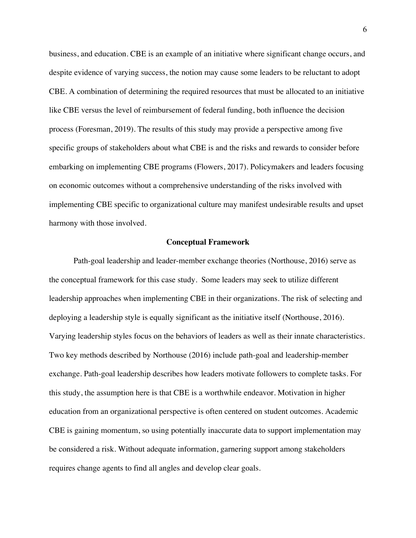business, and education. CBE is an example of an initiative where significant change occurs, and despite evidence of varying success, the notion may cause some leaders to be reluctant to adopt CBE. A combination of determining the required resources that must be allocated to an initiative like CBE versus the level of reimbursement of federal funding, both influence the decision process (Foresman, 2019). The results of this study may provide a perspective among five specific groups of stakeholders about what CBE is and the risks and rewards to consider before embarking on implementing CBE programs (Flowers, 2017). Policymakers and leaders focusing on economic outcomes without a comprehensive understanding of the risks involved with implementing CBE specific to organizational culture may manifest undesirable results and upset harmony with those involved.

#### **Conceptual Framework**

Path-goal leadership and leader-member exchange theories (Northouse, 2016) serve as the conceptual framework for this case study. Some leaders may seek to utilize different leadership approaches when implementing CBE in their organizations. The risk of selecting and deploying a leadership style is equally significant as the initiative itself (Northouse, 2016). Varying leadership styles focus on the behaviors of leaders as well as their innate characteristics. Two key methods described by Northouse (2016) include path-goal and leadership-member exchange. Path-goal leadership describes how leaders motivate followers to complete tasks. For this study, the assumption here is that CBE is a worthwhile endeavor. Motivation in higher education from an organizational perspective is often centered on student outcomes. Academic CBE is gaining momentum, so using potentially inaccurate data to support implementation may be considered a risk. Without adequate information, garnering support among stakeholders requires change agents to find all angles and develop clear goals.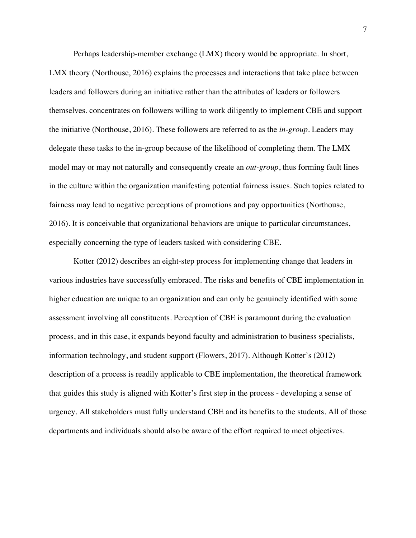Perhaps leadership-member exchange (LMX) theory would be appropriate. In short, LMX theory (Northouse, 2016) explains the processes and interactions that take place between leaders and followers during an initiative rather than the attributes of leaders or followers themselves. concentrates on followers willing to work diligently to implement CBE and support the initiative (Northouse, 2016). These followers are referred to as the *in-group*. Leaders may delegate these tasks to the in-group because of the likelihood of completing them. The LMX model may or may not naturally and consequently create an *out-group*, thus forming fault lines in the culture within the organization manifesting potential fairness issues. Such topics related to fairness may lead to negative perceptions of promotions and pay opportunities (Northouse, 2016). It is conceivable that organizational behaviors are unique to particular circumstances, especially concerning the type of leaders tasked with considering CBE.

Kotter (2012) describes an eight-step process for implementing change that leaders in various industries have successfully embraced. The risks and benefits of CBE implementation in higher education are unique to an organization and can only be genuinely identified with some assessment involving all constituents. Perception of CBE is paramount during the evaluation process, and in this case, it expands beyond faculty and administration to business specialists, information technology, and student support (Flowers, 2017). Although Kotter's (2012) description of a process is readily applicable to CBE implementation, the theoretical framework that guides this study is aligned with Kotter's first step in the process - developing a sense of urgency. All stakeholders must fully understand CBE and its benefits to the students. All of those departments and individuals should also be aware of the effort required to meet objectives.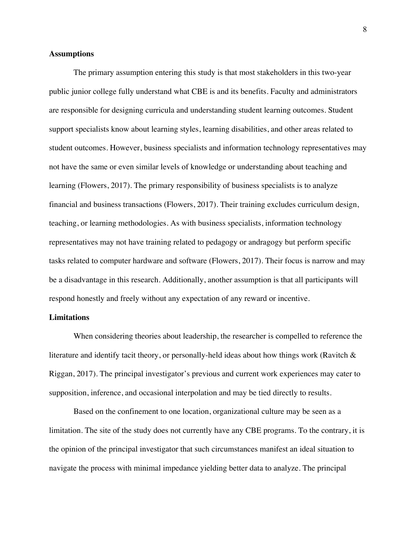# **Assumptions**

The primary assumption entering this study is that most stakeholders in this two-year public junior college fully understand what CBE is and its benefits. Faculty and administrators are responsible for designing curricula and understanding student learning outcomes. Student support specialists know about learning styles, learning disabilities, and other areas related to student outcomes. However, business specialists and information technology representatives may not have the same or even similar levels of knowledge or understanding about teaching and learning (Flowers, 2017). The primary responsibility of business specialists is to analyze financial and business transactions (Flowers, 2017). Their training excludes curriculum design, teaching, or learning methodologies. As with business specialists, information technology representatives may not have training related to pedagogy or andragogy but perform specific tasks related to computer hardware and software (Flowers, 2017). Their focus is narrow and may be a disadvantage in this research. Additionally, another assumption is that all participants will respond honestly and freely without any expectation of any reward or incentive.

# **Limitations**

When considering theories about leadership, the researcher is compelled to reference the literature and identify tacit theory, or personally-held ideas about how things work (Ravitch & Riggan, 2017). The principal investigator's previous and current work experiences may cater to supposition, inference, and occasional interpolation and may be tied directly to results.

Based on the confinement to one location, organizational culture may be seen as a limitation. The site of the study does not currently have any CBE programs. To the contrary, it is the opinion of the principal investigator that such circumstances manifest an ideal situation to navigate the process with minimal impedance yielding better data to analyze. The principal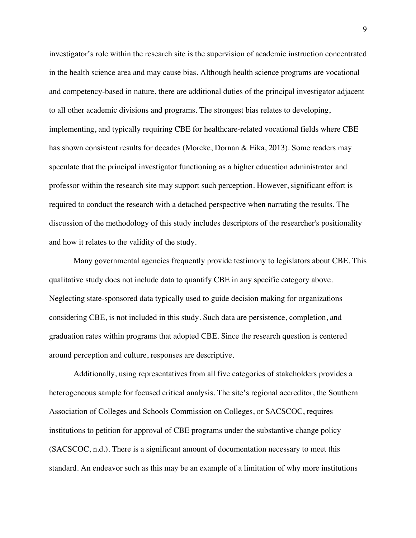investigator's role within the research site is the supervision of academic instruction concentrated in the health science area and may cause bias. Although health science programs are vocational and competency-based in nature, there are additional duties of the principal investigator adjacent to all other academic divisions and programs. The strongest bias relates to developing, implementing, and typically requiring CBE for healthcare-related vocational fields where CBE has shown consistent results for decades (Morcke, Dornan & Eika, 2013). Some readers may speculate that the principal investigator functioning as a higher education administrator and professor within the research site may support such perception. However, significant effort is required to conduct the research with a detached perspective when narrating the results. The discussion of the methodology of this study includes descriptors of the researcher's positionality and how it relates to the validity of the study.

Many governmental agencies frequently provide testimony to legislators about CBE. This qualitative study does not include data to quantify CBE in any specific category above. Neglecting state-sponsored data typically used to guide decision making for organizations considering CBE, is not included in this study. Such data are persistence, completion, and graduation rates within programs that adopted CBE. Since the research question is centered around perception and culture, responses are descriptive.

Additionally, using representatives from all five categories of stakeholders provides a heterogeneous sample for focused critical analysis. The site's regional accreditor, the Southern Association of Colleges and Schools Commission on Colleges, or SACSCOC, requires institutions to petition for approval of CBE programs under the substantive change policy (SACSCOC, n.d.). There is a significant amount of documentation necessary to meet this standard. An endeavor such as this may be an example of a limitation of why more institutions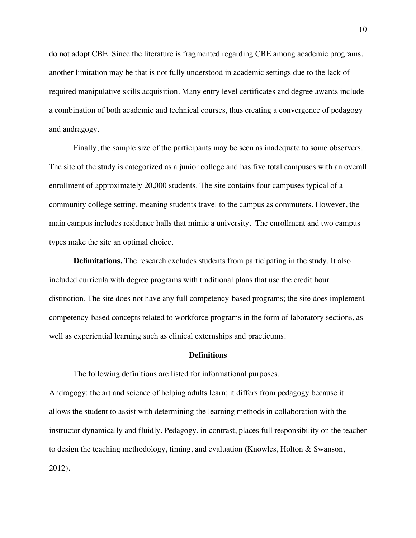do not adopt CBE. Since the literature is fragmented regarding CBE among academic programs, another limitation may be that is not fully understood in academic settings due to the lack of required manipulative skills acquisition. Many entry level certificates and degree awards include a combination of both academic and technical courses, thus creating a convergence of pedagogy and andragogy.

Finally, the sample size of the participants may be seen as inadequate to some observers. The site of the study is categorized as a junior college and has five total campuses with an overall enrollment of approximately 20,000 students. The site contains four campuses typical of a community college setting, meaning students travel to the campus as commuters. However, the main campus includes residence halls that mimic a university. The enrollment and two campus types make the site an optimal choice.

**Delimitations.** The research excludes students from participating in the study. It also included curricula with degree programs with traditional plans that use the credit hour distinction. The site does not have any full competency-based programs; the site does implement competency-based concepts related to workforce programs in the form of laboratory sections, as well as experiential learning such as clinical externships and practicums.

#### **Definitions**

The following definitions are listed for informational purposes. Andragogy: the art and science of helping adults learn; it differs from pedagogy because it allows the student to assist with determining the learning methods in collaboration with the instructor dynamically and fluidly. Pedagogy, in contrast, places full responsibility on the teacher to design the teaching methodology, timing, and evaluation (Knowles, Holton & Swanson, 2012).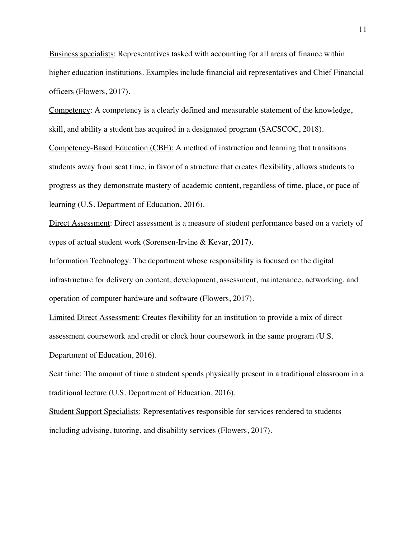Business specialists: Representatives tasked with accounting for all areas of finance within higher education institutions. Examples include financial aid representatives and Chief Financial officers (Flowers, 2017).

Competency: A competency is a clearly defined and measurable statement of the knowledge, skill, and ability a student has acquired in a designated program (SACSCOC, 2018).

Competency-Based Education (CBE): A method of instruction and learning that transitions students away from seat time, in favor of a structure that creates flexibility, allows students to progress as they demonstrate mastery of academic content, regardless of time, place, or pace of learning (U.S. Department of Education, 2016).

Direct Assessment: Direct assessment is a measure of student performance based on a variety of types of actual student work (Sorensen-Irvine & Kevar, 2017).

Information Technology: The department whose responsibility is focused on the digital infrastructure for delivery on content, development, assessment, maintenance, networking, and operation of computer hardware and software (Flowers, 2017).

Limited Direct Assessment: Creates flexibility for an institution to provide a mix of direct assessment coursework and credit or clock hour coursework in the same program (U.S. Department of Education, 2016).

Seat time: The amount of time a student spends physically present in a traditional classroom in a traditional lecture (U.S. Department of Education, 2016).

Student Support Specialists: Representatives responsible for services rendered to students including advising, tutoring, and disability services (Flowers, 2017).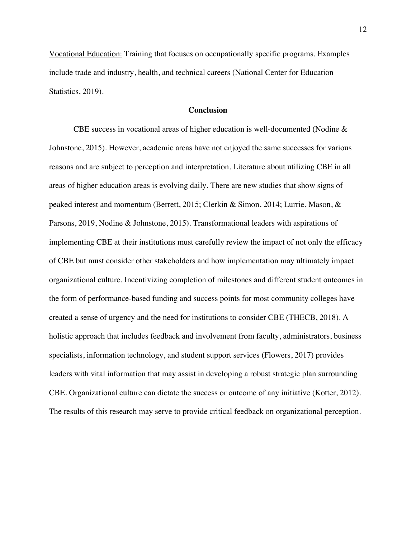Vocational Education: Training that focuses on occupationally specific programs. Examples include trade and industry, health, and technical careers (National Center for Education Statistics, 2019).

# **Conclusion**

CBE success in vocational areas of higher education is well-documented (Nodine & Johnstone, 2015). However, academic areas have not enjoyed the same successes for various reasons and are subject to perception and interpretation. Literature about utilizing CBE in all areas of higher education areas is evolving daily. There are new studies that show signs of peaked interest and momentum (Berrett, 2015; Clerkin & Simon, 2014; Lurrie, Mason, & Parsons, 2019, Nodine & Johnstone, 2015). Transformational leaders with aspirations of implementing CBE at their institutions must carefully review the impact of not only the efficacy of CBE but must consider other stakeholders and how implementation may ultimately impact organizational culture. Incentivizing completion of milestones and different student outcomes in the form of performance-based funding and success points for most community colleges have created a sense of urgency and the need for institutions to consider CBE (THECB, 2018). A holistic approach that includes feedback and involvement from faculty, administrators, business specialists, information technology, and student support services (Flowers, 2017) provides leaders with vital information that may assist in developing a robust strategic plan surrounding CBE. Organizational culture can dictate the success or outcome of any initiative (Kotter, 2012). The results of this research may serve to provide critical feedback on organizational perception.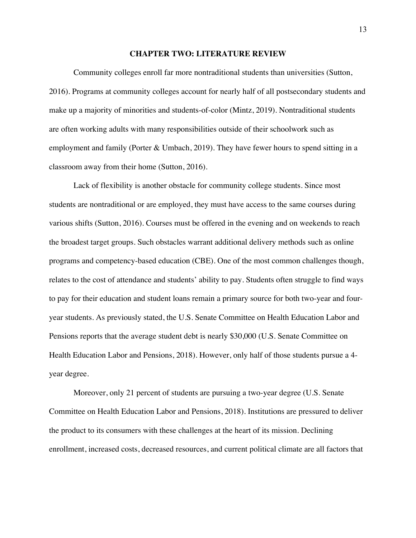#### **CHAPTER TWO: LITERATURE REVIEW**

Community colleges enroll far more nontraditional students than universities (Sutton, 2016). Programs at community colleges account for nearly half of all postsecondary students and make up a majority of minorities and students-of-color (Mintz, 2019). Nontraditional students are often working adults with many responsibilities outside of their schoolwork such as employment and family (Porter & Umbach, 2019). They have fewer hours to spend sitting in a classroom away from their home (Sutton, 2016).

Lack of flexibility is another obstacle for community college students. Since most students are nontraditional or are employed, they must have access to the same courses during various shifts (Sutton, 2016). Courses must be offered in the evening and on weekends to reach the broadest target groups. Such obstacles warrant additional delivery methods such as online programs and competency-based education (CBE). One of the most common challenges though, relates to the cost of attendance and students' ability to pay. Students often struggle to find ways to pay for their education and student loans remain a primary source for both two-year and fouryear students. As previously stated, the U.S. Senate Committee on Health Education Labor and Pensions reports that the average student debt is nearly \$30,000 (U.S. Senate Committee on Health Education Labor and Pensions, 2018). However, only half of those students pursue a 4 year degree.

Moreover, only 21 percent of students are pursuing a two-year degree (U.S. Senate Committee on Health Education Labor and Pensions, 2018). Institutions are pressured to deliver the product to its consumers with these challenges at the heart of its mission. Declining enrollment, increased costs, decreased resources, and current political climate are all factors that

13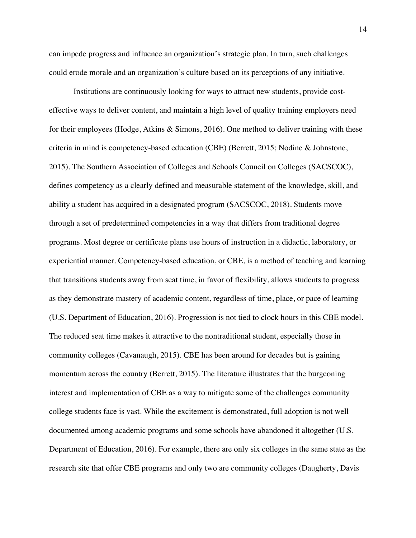can impede progress and influence an organization's strategic plan. In turn, such challenges could erode morale and an organization's culture based on its perceptions of any initiative.

Institutions are continuously looking for ways to attract new students, provide costeffective ways to deliver content, and maintain a high level of quality training employers need for their employees (Hodge, Atkins & Simons, 2016). One method to deliver training with these criteria in mind is competency-based education (CBE) (Berrett, 2015; Nodine & Johnstone, 2015). The Southern Association of Colleges and Schools Council on Colleges (SACSCOC), defines competency as a clearly defined and measurable statement of the knowledge, skill, and ability a student has acquired in a designated program (SACSCOC, 2018). Students move through a set of predetermined competencies in a way that differs from traditional degree programs. Most degree or certificate plans use hours of instruction in a didactic, laboratory, or experiential manner. Competency-based education, or CBE, is a method of teaching and learning that transitions students away from seat time, in favor of flexibility, allows students to progress as they demonstrate mastery of academic content, regardless of time, place, or pace of learning (U.S. Department of Education, 2016). Progression is not tied to clock hours in this CBE model. The reduced seat time makes it attractive to the nontraditional student, especially those in community colleges (Cavanaugh, 2015). CBE has been around for decades but is gaining momentum across the country (Berrett, 2015). The literature illustrates that the burgeoning interest and implementation of CBE as a way to mitigate some of the challenges community college students face is vast. While the excitement is demonstrated, full adoption is not well documented among academic programs and some schools have abandoned it altogether (U.S. Department of Education, 2016). For example, there are only six colleges in the same state as the research site that offer CBE programs and only two are community colleges (Daugherty, Davis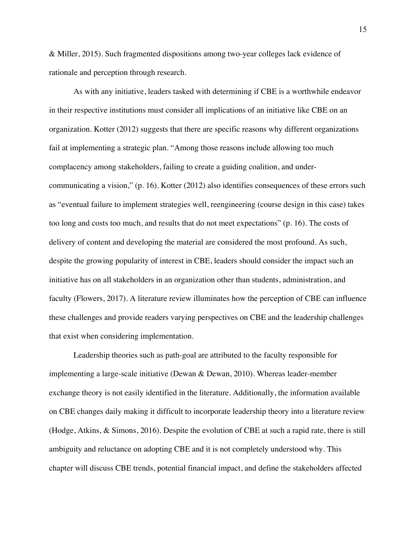& Miller, 2015). Such fragmented dispositions among two-year colleges lack evidence of rationale and perception through research.

As with any initiative, leaders tasked with determining if CBE is a worthwhile endeavor in their respective institutions must consider all implications of an initiative like CBE on an organization. Kotter (2012) suggests that there are specific reasons why different organizations fail at implementing a strategic plan. "Among those reasons include allowing too much complacency among stakeholders, failing to create a guiding coalition, and undercommunicating a vision," (p. 16). Kotter (2012) also identifies consequences of these errors such as "eventual failure to implement strategies well, reengineering (course design in this case) takes too long and costs too much, and results that do not meet expectations" (p. 16). The costs of delivery of content and developing the material are considered the most profound. As such, despite the growing popularity of interest in CBE, leaders should consider the impact such an initiative has on all stakeholders in an organization other than students, administration, and faculty (Flowers, 2017). A literature review illuminates how the perception of CBE can influence these challenges and provide readers varying perspectives on CBE and the leadership challenges that exist when considering implementation.

Leadership theories such as path-goal are attributed to the faculty responsible for implementing a large-scale initiative (Dewan & Dewan, 2010). Whereas leader-member exchange theory is not easily identified in the literature. Additionally, the information available on CBE changes daily making it difficult to incorporate leadership theory into a literature review (Hodge, Atkins, & Simons, 2016). Despite the evolution of CBE at such a rapid rate, there is still ambiguity and reluctance on adopting CBE and it is not completely understood why. This chapter will discuss CBE trends, potential financial impact, and define the stakeholders affected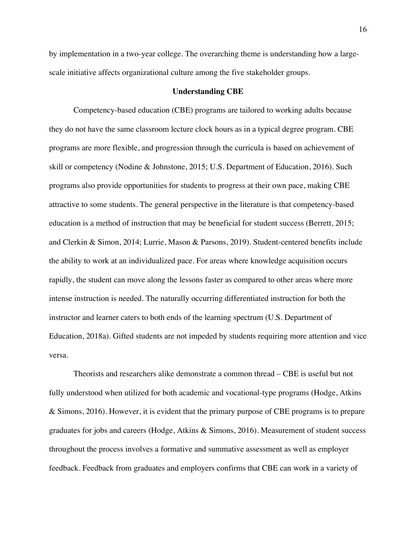by implementation in a two-year college. The overarching theme is understanding how a largescale initiative affects organizational culture among the five stakeholder groups.

#### **Understanding CBE**

Competency-based education (CBE) programs are tailored to working adults because they do not have the same classroom lecture clock hours as in a typical degree program. CBE programs are more flexible, and progression through the curricula is based on achievement of skill or competency (Nodine & Johnstone, 2015; U.S. Department of Education, 2016). Such programs also provide opportunities for students to progress at their own pace, making CBE attractive to some students. The general perspective in the literature is that competency-based education is a method of instruction that may be beneficial for student success (Berrett, 2015; and Clerkin & Simon, 2014; Lurrie, Mason & Parsons, 2019). Student-centered benefits include the ability to work at an individualized pace. For areas where knowledge acquisition occurs rapidly, the student can move along the lessons faster as compared to other areas where more intense instruction is needed. The naturally occurring differentiated instruction for both the instructor and learner caters to both ends of the learning spectrum (U.S. Department of Education, 2018a). Gifted students are not impeded by students requiring more attention and vice versa.

Theorists and researchers alike demonstrate a common thread – CBE is useful but not fully understood when utilized for both academic and vocational-type programs (Hodge, Atkins & Simons, 2016). However, it is evident that the primary purpose of CBE programs is to prepare graduates for jobs and careers (Hodge, Atkins & Simons, 2016). Measurement of student success throughout the process involves a formative and summative assessment as well as employer feedback. Feedback from graduates and employers confirms that CBE can work in a variety of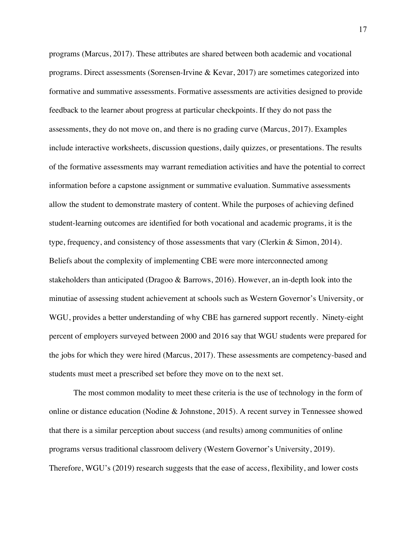programs (Marcus, 2017). These attributes are shared between both academic and vocational programs. Direct assessments (Sorensen-Irvine & Kevar, 2017) are sometimes categorized into formative and summative assessments. Formative assessments are activities designed to provide feedback to the learner about progress at particular checkpoints. If they do not pass the assessments, they do not move on, and there is no grading curve (Marcus, 2017). Examples include interactive worksheets, discussion questions, daily quizzes, or presentations. The results of the formative assessments may warrant remediation activities and have the potential to correct information before a capstone assignment or summative evaluation. Summative assessments allow the student to demonstrate mastery of content. While the purposes of achieving defined student-learning outcomes are identified for both vocational and academic programs, it is the type, frequency, and consistency of those assessments that vary (Clerkin & Simon, 2014). Beliefs about the complexity of implementing CBE were more interconnected among stakeholders than anticipated (Dragoo & Barrows, 2016). However, an in-depth look into the minutiae of assessing student achievement at schools such as Western Governor's University, or WGU, provides a better understanding of why CBE has garnered support recently. Ninety-eight percent of employers surveyed between 2000 and 2016 say that WGU students were prepared for the jobs for which they were hired (Marcus, 2017). These assessments are competency-based and students must meet a prescribed set before they move on to the next set.

The most common modality to meet these criteria is the use of technology in the form of online or distance education (Nodine & Johnstone, 2015). A recent survey in Tennessee showed that there is a similar perception about success (and results) among communities of online programs versus traditional classroom delivery (Western Governor's University, 2019). Therefore, WGU's (2019) research suggests that the ease of access, flexibility, and lower costs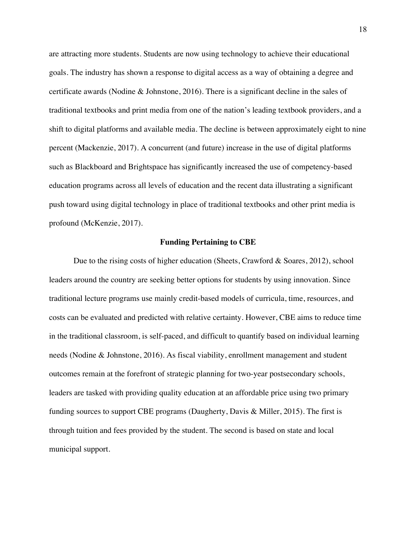are attracting more students. Students are now using technology to achieve their educational goals. The industry has shown a response to digital access as a way of obtaining a degree and certificate awards (Nodine & Johnstone, 2016). There is a significant decline in the sales of traditional textbooks and print media from one of the nation's leading textbook providers, and a shift to digital platforms and available media. The decline is between approximately eight to nine percent (Mackenzie, 2017). A concurrent (and future) increase in the use of digital platforms such as Blackboard and Brightspace has significantly increased the use of competency-based education programs across all levels of education and the recent data illustrating a significant push toward using digital technology in place of traditional textbooks and other print media is profound (McKenzie, 2017).

#### **Funding Pertaining to CBE**

Due to the rising costs of higher education (Sheets, Crawford & Soares, 2012), school leaders around the country are seeking better options for students by using innovation. Since traditional lecture programs use mainly credit-based models of curricula, time, resources, and costs can be evaluated and predicted with relative certainty. However, CBE aims to reduce time in the traditional classroom, is self-paced, and difficult to quantify based on individual learning needs (Nodine & Johnstone, 2016). As fiscal viability, enrollment management and student outcomes remain at the forefront of strategic planning for two-year postsecondary schools, leaders are tasked with providing quality education at an affordable price using two primary funding sources to support CBE programs (Daugherty, Davis & Miller, 2015). The first is through tuition and fees provided by the student. The second is based on state and local municipal support.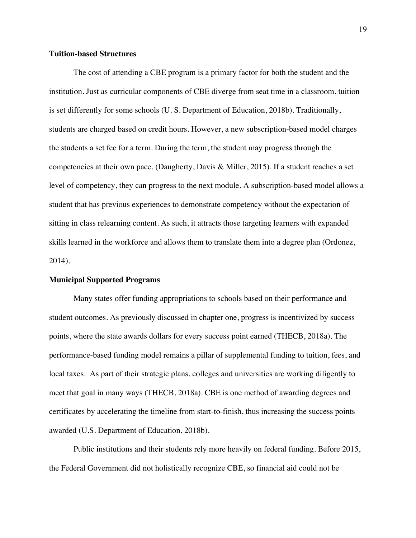# **Tuition-based Structures**

The cost of attending a CBE program is a primary factor for both the student and the institution. Just as curricular components of CBE diverge from seat time in a classroom, tuition is set differently for some schools (U. S. Department of Education, 2018b). Traditionally, students are charged based on credit hours. However, a new subscription-based model charges the students a set fee for a term. During the term, the student may progress through the competencies at their own pace. (Daugherty, Davis & Miller, 2015). If a student reaches a set level of competency, they can progress to the next module. A subscription-based model allows a student that has previous experiences to demonstrate competency without the expectation of sitting in class relearning content. As such, it attracts those targeting learners with expanded skills learned in the workforce and allows them to translate them into a degree plan (Ordonez, 2014).

# **Municipal Supported Programs**

Many states offer funding appropriations to schools based on their performance and student outcomes. As previously discussed in chapter one, progress is incentivized by success points, where the state awards dollars for every success point earned (THECB, 2018a). The performance-based funding model remains a pillar of supplemental funding to tuition, fees, and local taxes. As part of their strategic plans, colleges and universities are working diligently to meet that goal in many ways (THECB, 2018a). CBE is one method of awarding degrees and certificates by accelerating the timeline from start-to-finish, thus increasing the success points awarded (U.S. Department of Education, 2018b).

Public institutions and their students rely more heavily on federal funding. Before 2015, the Federal Government did not holistically recognize CBE, so financial aid could not be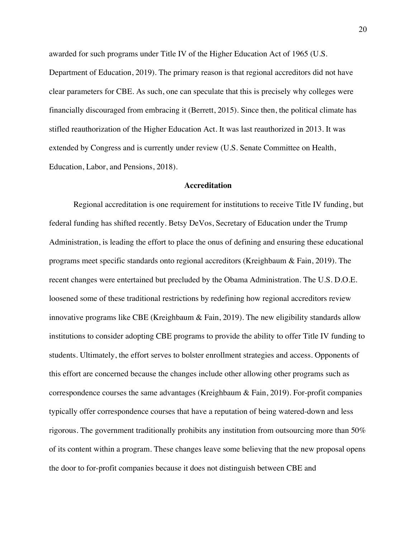awarded for such programs under Title IV of the Higher Education Act of 1965 (U.S.

Department of Education, 2019). The primary reason is that regional accreditors did not have clear parameters for CBE. As such, one can speculate that this is precisely why colleges were financially discouraged from embracing it (Berrett, 2015). Since then, the political climate has stifled reauthorization of the Higher Education Act. It was last reauthorized in 2013. It was extended by Congress and is currently under review (U.S. Senate Committee on Health, Education, Labor, and Pensions, 2018).

# **Accreditation**

Regional accreditation is one requirement for institutions to receive Title IV funding, but federal funding has shifted recently. Betsy DeVos, Secretary of Education under the Trump Administration, is leading the effort to place the onus of defining and ensuring these educational programs meet specific standards onto regional accreditors (Kreighbaum & Fain, 2019). The recent changes were entertained but precluded by the Obama Administration. The U.S. D.O.E. loosened some of these traditional restrictions by redefining how regional accreditors review innovative programs like CBE (Kreighbaum & Fain, 2019). The new eligibility standards allow institutions to consider adopting CBE programs to provide the ability to offer Title IV funding to students. Ultimately, the effort serves to bolster enrollment strategies and access. Opponents of this effort are concerned because the changes include other allowing other programs such as correspondence courses the same advantages (Kreighbaum & Fain, 2019). For-profit companies typically offer correspondence courses that have a reputation of being watered-down and less rigorous. The government traditionally prohibits any institution from outsourcing more than 50% of its content within a program. These changes leave some believing that the new proposal opens the door to for-profit companies because it does not distinguish between CBE and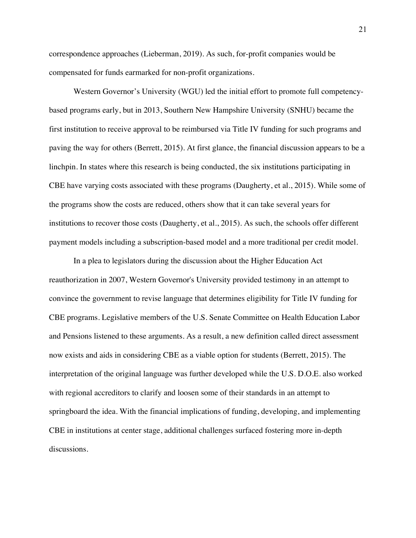correspondence approaches (Lieberman, 2019). As such, for-profit companies would be compensated for funds earmarked for non-profit organizations.

Western Governor's University (WGU) led the initial effort to promote full competencybased programs early, but in 2013, Southern New Hampshire University (SNHU) became the first institution to receive approval to be reimbursed via Title IV funding for such programs and paving the way for others (Berrett, 2015). At first glance, the financial discussion appears to be a linchpin. In states where this research is being conducted, the six institutions participating in CBE have varying costs associated with these programs (Daugherty, et al., 2015). While some of the programs show the costs are reduced, others show that it can take several years for institutions to recover those costs (Daugherty, et al., 2015). As such, the schools offer different payment models including a subscription-based model and a more traditional per credit model.

In a plea to legislators during the discussion about the Higher Education Act reauthorization in 2007, Western Governor's University provided testimony in an attempt to convince the government to revise language that determines eligibility for Title IV funding for CBE programs. Legislative members of the U.S. Senate Committee on Health Education Labor and Pensions listened to these arguments. As a result, a new definition called direct assessment now exists and aids in considering CBE as a viable option for students (Berrett, 2015). The interpretation of the original language was further developed while the U.S. D.O.E. also worked with regional accreditors to clarify and loosen some of their standards in an attempt to springboard the idea. With the financial implications of funding, developing, and implementing CBE in institutions at center stage, additional challenges surfaced fostering more in-depth discussions.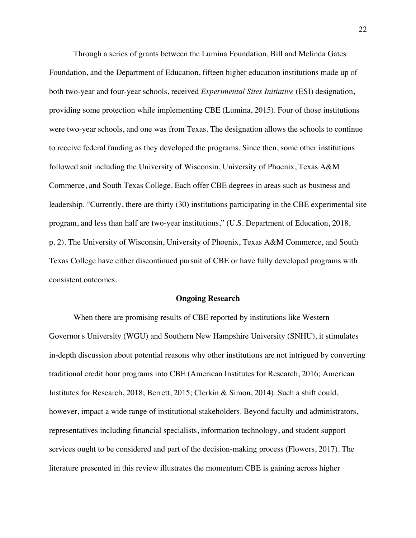Through a series of grants between the Lumina Foundation, Bill and Melinda Gates Foundation, and the Department of Education, fifteen higher education institutions made up of both two-year and four-year schools, received *Experimental Sites Initiative* (ESI) designation, providing some protection while implementing CBE (Lumina, 2015). Four of those institutions were two-year schools, and one was from Texas. The designation allows the schools to continue to receive federal funding as they developed the programs. Since then, some other institutions followed suit including the University of Wisconsin, University of Phoenix, Texas A&M Commerce, and South Texas College. Each offer CBE degrees in areas such as business and leadership. "Currently, there are thirty (30) institutions participating in the CBE experimental site program, and less than half are two-year institutions," (U.S. Department of Education, 2018, p. 2). The University of Wisconsin, University of Phoenix, Texas A&M Commerce, and South Texas College have either discontinued pursuit of CBE or have fully developed programs with consistent outcomes.

# **Ongoing Research**

When there are promising results of CBE reported by institutions like Western Governor's University (WGU) and Southern New Hampshire University (SNHU), it stimulates in-depth discussion about potential reasons why other institutions are not intrigued by converting traditional credit hour programs into CBE (American Institutes for Research, 2016; American Institutes for Research, 2018; Berrett, 2015; Clerkin & Simon, 2014). Such a shift could, however, impact a wide range of institutional stakeholders. Beyond faculty and administrators, representatives including financial specialists, information technology, and student support services ought to be considered and part of the decision-making process (Flowers, 2017). The literature presented in this review illustrates the momentum CBE is gaining across higher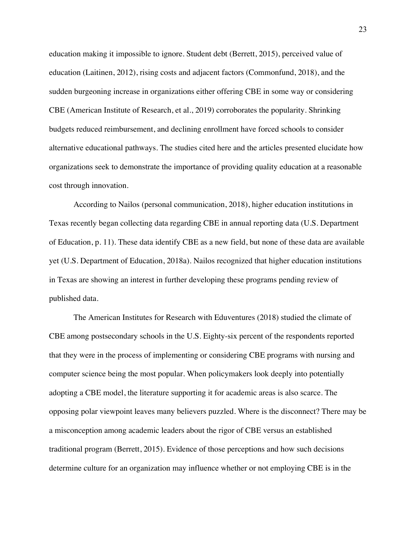education making it impossible to ignore. Student debt (Berrett, 2015), perceived value of education (Laitinen, 2012), rising costs and adjacent factors (Commonfund, 2018), and the sudden burgeoning increase in organizations either offering CBE in some way or considering CBE (American Institute of Research, et al., 2019) corroborates the popularity. Shrinking budgets reduced reimbursement, and declining enrollment have forced schools to consider alternative educational pathways. The studies cited here and the articles presented elucidate how organizations seek to demonstrate the importance of providing quality education at a reasonable cost through innovation.

According to Nailos (personal communication, 2018), higher education institutions in Texas recently began collecting data regarding CBE in annual reporting data (U.S. Department of Education, p. 11). These data identify CBE as a new field, but none of these data are available yet (U.S. Department of Education, 2018a). Nailos recognized that higher education institutions in Texas are showing an interest in further developing these programs pending review of published data.

The American Institutes for Research with Eduventures (2018) studied the climate of CBE among postsecondary schools in the U.S. Eighty-six percent of the respondents reported that they were in the process of implementing or considering CBE programs with nursing and computer science being the most popular. When policymakers look deeply into potentially adopting a CBE model, the literature supporting it for academic areas is also scarce. The opposing polar viewpoint leaves many believers puzzled. Where is the disconnect? There may be a misconception among academic leaders about the rigor of CBE versus an established traditional program (Berrett, 2015). Evidence of those perceptions and how such decisions determine culture for an organization may influence whether or not employing CBE is in the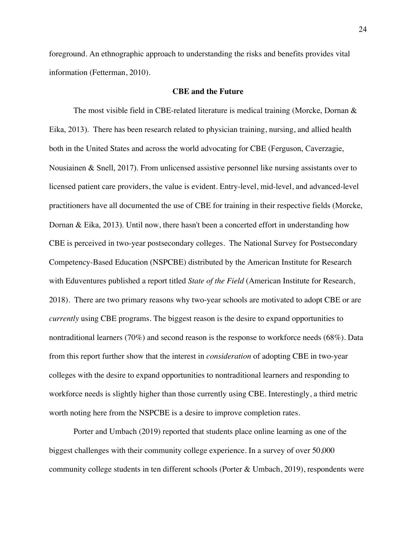foreground. An ethnographic approach to understanding the risks and benefits provides vital information (Fetterman, 2010).

#### **CBE and the Future**

The most visible field in CBE-related literature is medical training (Morcke, Dornan & Eika, 2013). There has been research related to physician training, nursing, and allied health both in the United States and across the world advocating for CBE (Ferguson, Caverzagie, Nousiainen & Snell, 2017). From unlicensed assistive personnel like nursing assistants over to licensed patient care providers, the value is evident. Entry-level, mid-level, and advanced-level practitioners have all documented the use of CBE for training in their respective fields (Morcke, Dornan & Eika, 2013). Until now, there hasn't been a concerted effort in understanding how CBE is perceived in two-year postsecondary colleges. The National Survey for Postsecondary Competency-Based Education (NSPCBE) distributed by the American Institute for Research with Eduventures published a report titled *State of the Field* (American Institute for Research, 2018). There are two primary reasons why two-year schools are motivated to adopt CBE or are *currently* using CBE programs. The biggest reason is the desire to expand opportunities to nontraditional learners (70%) and second reason is the response to workforce needs (68%). Data from this report further show that the interest in *consideration* of adopting CBE in two-year colleges with the desire to expand opportunities to nontraditional learners and responding to workforce needs is slightly higher than those currently using CBE. Interestingly, a third metric worth noting here from the NSPCBE is a desire to improve completion rates.

Porter and Umbach (2019) reported that students place online learning as one of the biggest challenges with their community college experience. In a survey of over 50,000 community college students in ten different schools (Porter & Umbach, 2019), respondents were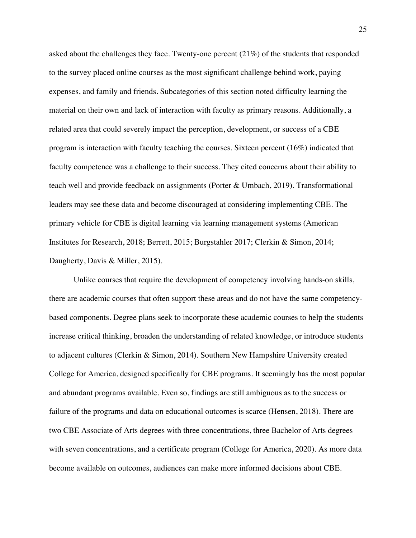asked about the challenges they face. Twenty-one percent (21%) of the students that responded to the survey placed online courses as the most significant challenge behind work, paying expenses, and family and friends. Subcategories of this section noted difficulty learning the material on their own and lack of interaction with faculty as primary reasons. Additionally, a related area that could severely impact the perception, development, or success of a CBE program is interaction with faculty teaching the courses. Sixteen percent (16%) indicated that faculty competence was a challenge to their success. They cited concerns about their ability to teach well and provide feedback on assignments (Porter & Umbach, 2019). Transformational leaders may see these data and become discouraged at considering implementing CBE. The primary vehicle for CBE is digital learning via learning management systems (American Institutes for Research, 2018; Berrett, 2015; Burgstahler 2017; Clerkin & Simon, 2014; Daugherty, Davis & Miller, 2015).

Unlike courses that require the development of competency involving hands-on skills, there are academic courses that often support these areas and do not have the same competencybased components. Degree plans seek to incorporate these academic courses to help the students increase critical thinking, broaden the understanding of related knowledge, or introduce students to adjacent cultures (Clerkin & Simon, 2014). Southern New Hampshire University created College for America, designed specifically for CBE programs. It seemingly has the most popular and abundant programs available. Even so, findings are still ambiguous as to the success or failure of the programs and data on educational outcomes is scarce (Hensen, 2018). There are two CBE Associate of Arts degrees with three concentrations, three Bachelor of Arts degrees with seven concentrations, and a certificate program (College for America, 2020). As more data become available on outcomes, audiences can make more informed decisions about CBE.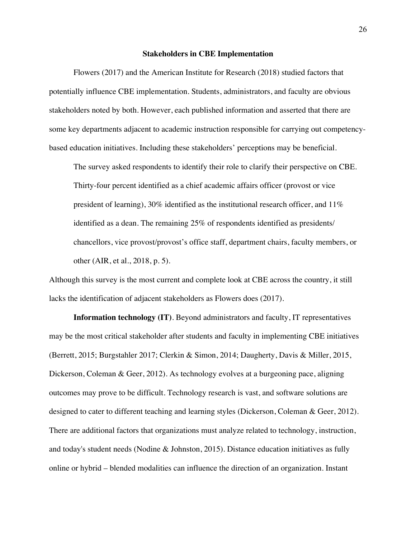#### **Stakeholders in CBE Implementation**

Flowers (2017) and the American Institute for Research (2018) studied factors that potentially influence CBE implementation. Students, administrators, and faculty are obvious stakeholders noted by both. However, each published information and asserted that there are some key departments adjacent to academic instruction responsible for carrying out competencybased education initiatives. Including these stakeholders' perceptions may be beneficial.

The survey asked respondents to identify their role to clarify their perspective on CBE. Thirty-four percent identified as a chief academic affairs officer (provost or vice president of learning), 30% identified as the institutional research officer, and  $11\%$ identified as a dean. The remaining 25% of respondents identified as presidents/ chancellors, vice provost/provost's office staff, department chairs, faculty members, or other (AIR, et al., 2018, p. 5).

Although this survey is the most current and complete look at CBE across the country, it still lacks the identification of adjacent stakeholders as Flowers does (2017).

**Information technology (IT)**. Beyond administrators and faculty, IT representatives may be the most critical stakeholder after students and faculty in implementing CBE initiatives (Berrett, 2015; Burgstahler 2017; Clerkin & Simon, 2014; Daugherty, Davis & Miller, 2015, Dickerson, Coleman & Geer, 2012). As technology evolves at a burgeoning pace, aligning outcomes may prove to be difficult. Technology research is vast, and software solutions are designed to cater to different teaching and learning styles (Dickerson, Coleman & Geer, 2012). There are additional factors that organizations must analyze related to technology, instruction, and today's student needs (Nodine & Johnston, 2015). Distance education initiatives as fully online or hybrid – blended modalities can influence the direction of an organization. Instant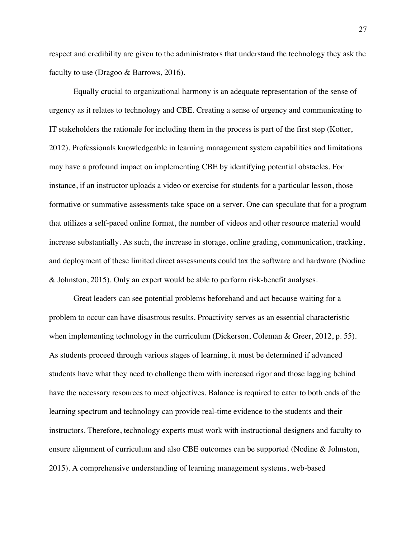respect and credibility are given to the administrators that understand the technology they ask the faculty to use (Dragoo & Barrows, 2016).

Equally crucial to organizational harmony is an adequate representation of the sense of urgency as it relates to technology and CBE. Creating a sense of urgency and communicating to IT stakeholders the rationale for including them in the process is part of the first step (Kotter, 2012). Professionals knowledgeable in learning management system capabilities and limitations may have a profound impact on implementing CBE by identifying potential obstacles. For instance, if an instructor uploads a video or exercise for students for a particular lesson, those formative or summative assessments take space on a server. One can speculate that for a program that utilizes a self-paced online format, the number of videos and other resource material would increase substantially. As such, the increase in storage, online grading, communication, tracking, and deployment of these limited direct assessments could tax the software and hardware (Nodine & Johnston, 2015). Only an expert would be able to perform risk-benefit analyses.

Great leaders can see potential problems beforehand and act because waiting for a problem to occur can have disastrous results. Proactivity serves as an essential characteristic when implementing technology in the curriculum (Dickerson, Coleman & Greer, 2012, p. 55). As students proceed through various stages of learning, it must be determined if advanced students have what they need to challenge them with increased rigor and those lagging behind have the necessary resources to meet objectives. Balance is required to cater to both ends of the learning spectrum and technology can provide real-time evidence to the students and their instructors. Therefore, technology experts must work with instructional designers and faculty to ensure alignment of curriculum and also CBE outcomes can be supported (Nodine & Johnston, 2015). A comprehensive understanding of learning management systems, web-based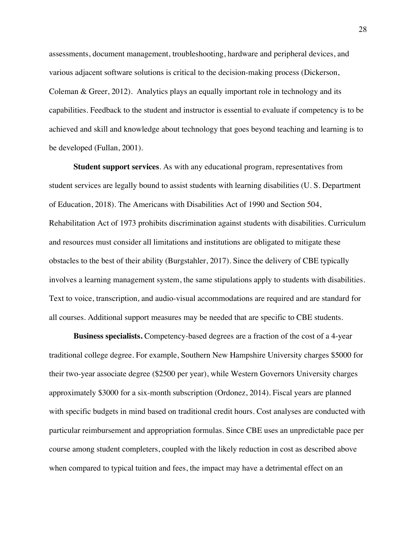assessments, document management, troubleshooting, hardware and peripheral devices, and various adjacent software solutions is critical to the decision-making process (Dickerson, Coleman & Greer, 2012). Analytics plays an equally important role in technology and its capabilities. Feedback to the student and instructor is essential to evaluate if competency is to be achieved and skill and knowledge about technology that goes beyond teaching and learning is to be developed (Fullan, 2001).

**Student support services**. As with any educational program, representatives from student services are legally bound to assist students with learning disabilities (U. S. Department of Education, 2018). The Americans with Disabilities Act of 1990 and Section 504, Rehabilitation Act of 1973 prohibits discrimination against students with disabilities. Curriculum and resources must consider all limitations and institutions are obligated to mitigate these obstacles to the best of their ability (Burgstahler, 2017). Since the delivery of CBE typically involves a learning management system, the same stipulations apply to students with disabilities. Text to voice, transcription, and audio-visual accommodations are required and are standard for all courses. Additional support measures may be needed that are specific to CBE students.

**Business specialists.** Competency-based degrees are a fraction of the cost of a 4-year traditional college degree. For example, Southern New Hampshire University charges \$5000 for their two-year associate degree (\$2500 per year), while Western Governors University charges approximately \$3000 for a six-month subscription (Ordonez, 2014). Fiscal years are planned with specific budgets in mind based on traditional credit hours. Cost analyses are conducted with particular reimbursement and appropriation formulas. Since CBE uses an unpredictable pace per course among student completers, coupled with the likely reduction in cost as described above when compared to typical tuition and fees, the impact may have a detrimental effect on an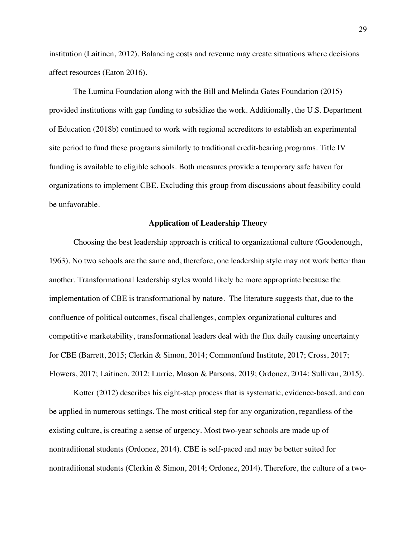institution (Laitinen, 2012). Balancing costs and revenue may create situations where decisions affect resources (Eaton 2016).

The Lumina Foundation along with the Bill and Melinda Gates Foundation (2015) provided institutions with gap funding to subsidize the work. Additionally, the U.S. Department of Education (2018b) continued to work with regional accreditors to establish an experimental site period to fund these programs similarly to traditional credit-bearing programs. Title IV funding is available to eligible schools. Both measures provide a temporary safe haven for organizations to implement CBE. Excluding this group from discussions about feasibility could be unfavorable.

### **Application of Leadership Theory**

Choosing the best leadership approach is critical to organizational culture (Goodenough, 1963). No two schools are the same and, therefore, one leadership style may not work better than another. Transformational leadership styles would likely be more appropriate because the implementation of CBE is transformational by nature. The literature suggests that, due to the confluence of political outcomes, fiscal challenges, complex organizational cultures and competitive marketability, transformational leaders deal with the flux daily causing uncertainty for CBE (Barrett, 2015; Clerkin & Simon, 2014; Commonfund Institute, 2017; Cross, 2017; Flowers, 2017; Laitinen, 2012; Lurrie, Mason & Parsons, 2019; Ordonez, 2014; Sullivan, 2015).

Kotter (2012) describes his eight-step process that is systematic, evidence-based, and can be applied in numerous settings. The most critical step for any organization, regardless of the existing culture, is creating a sense of urgency. Most two-year schools are made up of nontraditional students (Ordonez, 2014). CBE is self-paced and may be better suited for nontraditional students (Clerkin & Simon, 2014; Ordonez, 2014). Therefore, the culture of a two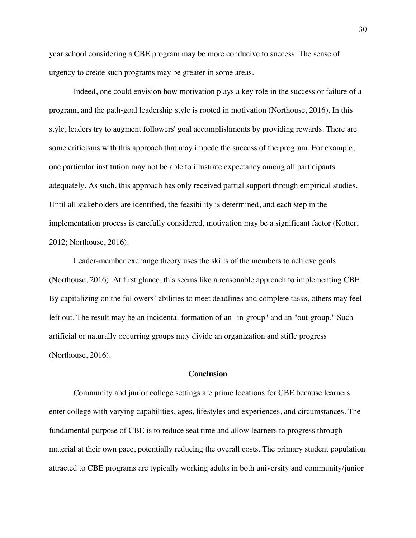year school considering a CBE program may be more conducive to success. The sense of urgency to create such programs may be greater in some areas.

Indeed, one could envision how motivation plays a key role in the success or failure of a program, and the path-goal leadership style is rooted in motivation (Northouse, 2016). In this style, leaders try to augment followers' goal accomplishments by providing rewards. There are some criticisms with this approach that may impede the success of the program. For example, one particular institution may not be able to illustrate expectancy among all participants adequately. As such, this approach has only received partial support through empirical studies. Until all stakeholders are identified, the feasibility is determined, and each step in the implementation process is carefully considered, motivation may be a significant factor (Kotter, 2012; Northouse, 2016).

Leader-member exchange theory uses the skills of the members to achieve goals (Northouse, 2016). At first glance, this seems like a reasonable approach to implementing CBE. By capitalizing on the followers' abilities to meet deadlines and complete tasks, others may feel left out. The result may be an incidental formation of an "in-group" and an "out-group." Such artificial or naturally occurring groups may divide an organization and stifle progress (Northouse, 2016).

# **Conclusion**

Community and junior college settings are prime locations for CBE because learners enter college with varying capabilities, ages, lifestyles and experiences, and circumstances. The fundamental purpose of CBE is to reduce seat time and allow learners to progress through material at their own pace, potentially reducing the overall costs. The primary student population attracted to CBE programs are typically working adults in both university and community/junior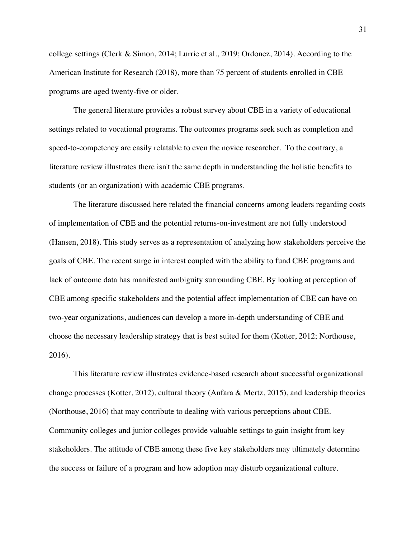college settings (Clerk & Simon, 2014; Lurrie et al., 2019; Ordonez, 2014). According to the American Institute for Research (2018), more than 75 percent of students enrolled in CBE programs are aged twenty-five or older.

The general literature provides a robust survey about CBE in a variety of educational settings related to vocational programs. The outcomes programs seek such as completion and speed-to-competency are easily relatable to even the novice researcher. To the contrary, a literature review illustrates there isn't the same depth in understanding the holistic benefits to students (or an organization) with academic CBE programs.

The literature discussed here related the financial concerns among leaders regarding costs of implementation of CBE and the potential returns-on-investment are not fully understood (Hansen, 2018). This study serves as a representation of analyzing how stakeholders perceive the goals of CBE. The recent surge in interest coupled with the ability to fund CBE programs and lack of outcome data has manifested ambiguity surrounding CBE. By looking at perception of CBE among specific stakeholders and the potential affect implementation of CBE can have on two-year organizations, audiences can develop a more in-depth understanding of CBE and choose the necessary leadership strategy that is best suited for them (Kotter, 2012; Northouse, 2016).

This literature review illustrates evidence-based research about successful organizational change processes (Kotter, 2012), cultural theory (Anfara & Mertz, 2015), and leadership theories (Northouse, 2016) that may contribute to dealing with various perceptions about CBE. Community colleges and junior colleges provide valuable settings to gain insight from key stakeholders. The attitude of CBE among these five key stakeholders may ultimately determine the success or failure of a program and how adoption may disturb organizational culture.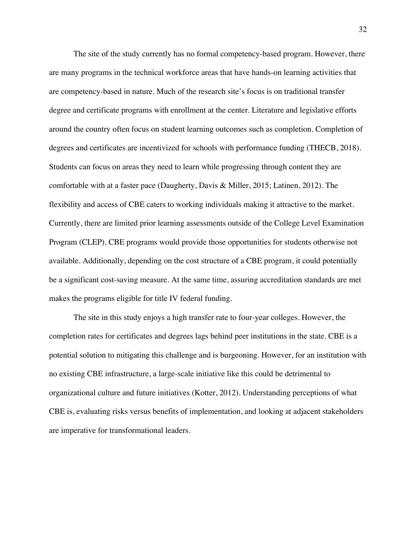The site of the study currently has no formal competency-based program. However, there are many programs in the technical workforce areas that have hands-on learning activities that are competency-based in nature. Much of the research site's focus is on traditional transfer degree and certificate programs with enrollment at the center. Literature and legislative efforts around the country often focus on student learning outcomes such as completion. Completion of degrees and certificates are incentivized for schools with performance funding (THECB, 2018). Students can focus on areas they need to learn while progressing through content they are comfortable with at a faster pace (Daugherty, Davis & Miller, 2015; Latinen, 2012). The flexibility and access of CBE caters to working individuals making it attractive to the market. Currently, there are limited prior learning assessments outside of the College Level Examination Program (CLEP). CBE programs would provide those opportunities for students otherwise not available. Additionally, depending on the cost structure of a CBE program, it could potentially be a significant cost-saving measure. At the same time, assuring accreditation standards are met makes the programs eligible for title IV federal funding.

The site in this study enjoys a high transfer rate to four-year colleges. However, the completion rates for certificates and degrees lags behind peer institutions in the state. CBE is a potential solution to mitigating this challenge and is burgeoning. However, for an institution with no existing CBE infrastructure, a large-scale initiative like this could be detrimental to organizational culture and future initiatives (Kotter, 2012). Understanding perceptions of what CBE is, evaluating risks versus benefits of implementation, and looking at adjacent stakeholders are imperative for transformational leaders.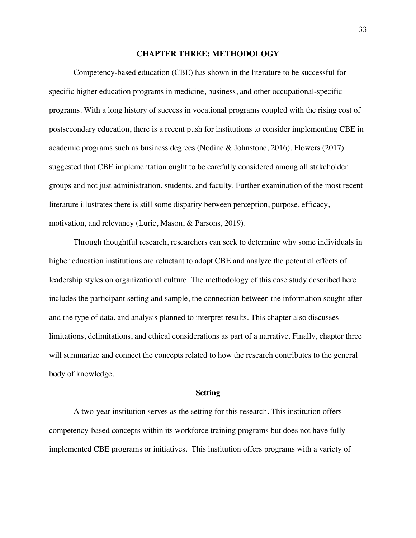# **CHAPTER THREE: METHODOLOGY**

Competency-based education (CBE) has shown in the literature to be successful for specific higher education programs in medicine, business, and other occupational-specific programs. With a long history of success in vocational programs coupled with the rising cost of postsecondary education, there is a recent push for institutions to consider implementing CBE in academic programs such as business degrees (Nodine & Johnstone, 2016). Flowers (2017) suggested that CBE implementation ought to be carefully considered among all stakeholder groups and not just administration, students, and faculty. Further examination of the most recent literature illustrates there is still some disparity between perception, purpose, efficacy, motivation, and relevancy (Lurie, Mason, & Parsons, 2019).

Through thoughtful research, researchers can seek to determine why some individuals in higher education institutions are reluctant to adopt CBE and analyze the potential effects of leadership styles on organizational culture. The methodology of this case study described here includes the participant setting and sample, the connection between the information sought after and the type of data, and analysis planned to interpret results. This chapter also discusses limitations, delimitations, and ethical considerations as part of a narrative. Finally, chapter three will summarize and connect the concepts related to how the research contributes to the general body of knowledge.

# **Setting**

A two-year institution serves as the setting for this research. This institution offers competency-based concepts within its workforce training programs but does not have fully implemented CBE programs or initiatives. This institution offers programs with a variety of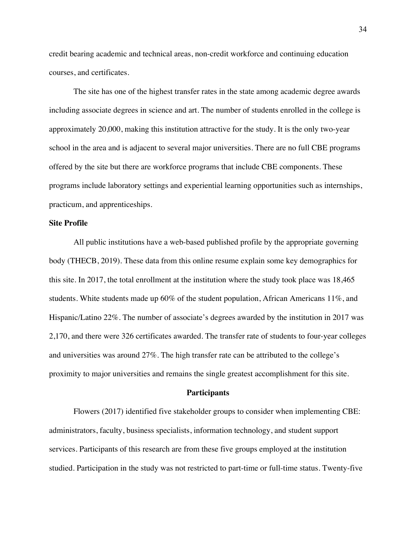credit bearing academic and technical areas, non-credit workforce and continuing education courses, and certificates.

The site has one of the highest transfer rates in the state among academic degree awards including associate degrees in science and art. The number of students enrolled in the college is approximately 20,000, making this institution attractive for the study. It is the only two-year school in the area and is adjacent to several major universities. There are no full CBE programs offered by the site but there are workforce programs that include CBE components. These programs include laboratory settings and experiential learning opportunities such as internships, practicum, and apprenticeships.

# **Site Profile**

All public institutions have a web-based published profile by the appropriate governing body (THECB, 2019). These data from this online resume explain some key demographics for this site. In 2017, the total enrollment at the institution where the study took place was 18,465 students. White students made up 60% of the student population, African Americans 11%, and Hispanic/Latino 22%. The number of associate's degrees awarded by the institution in 2017 was 2,170, and there were 326 certificates awarded. The transfer rate of students to four-year colleges and universities was around 27%. The high transfer rate can be attributed to the college's proximity to major universities and remains the single greatest accomplishment for this site.

# **Participants**

Flowers (2017) identified five stakeholder groups to consider when implementing CBE: administrators, faculty, business specialists, information technology, and student support services. Participants of this research are from these five groups employed at the institution studied. Participation in the study was not restricted to part-time or full-time status. Twenty-five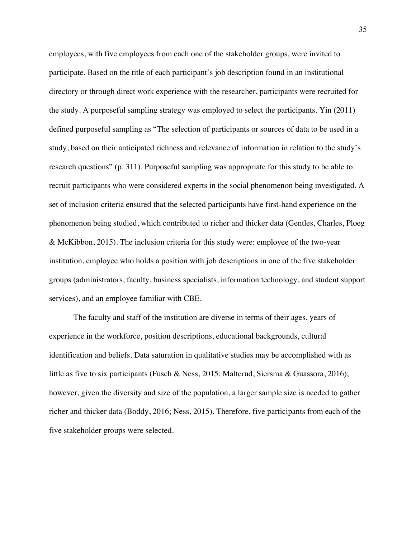employees, with five employees from each one of the stakeholder groups, were invited to participate. Based on the title of each participant's job description found in an institutional directory or through direct work experience with the researcher, participants were recruited for the study. A purposeful sampling strategy was employed to select the participants. Yin (2011) defined purposeful sampling as "The selection of participants or sources of data to be used in a study, based on their anticipated richness and relevance of information in relation to the study's research questions" (p. 311). Purposeful sampling was appropriate for this study to be able to recruit participants who were considered experts in the social phenomenon being investigated. A set of inclusion criteria ensured that the selected participants have first-hand experience on the phenomenon being studied, which contributed to richer and thicker data (Gentles, Charles, Ploeg & McKibbon, 2015). The inclusion criteria for this study were: employee of the two-year institution, employee who holds a position with job descriptions in one of the five stakeholder groups (administrators, faculty, business specialists, information technology, and student support services), and an employee familiar with CBE.

The faculty and staff of the institution are diverse in terms of their ages, years of experience in the workforce, position descriptions, educational backgrounds, cultural identification and beliefs. Data saturation in qualitative studies may be accomplished with as little as five to six participants (Fusch & Ness, 2015; Malterud, Siersma & Guassora, 2016); however, given the diversity and size of the population, a larger sample size is needed to gather richer and thicker data (Boddy, 2016; Ness, 2015). Therefore, five participants from each of the five stakeholder groups were selected.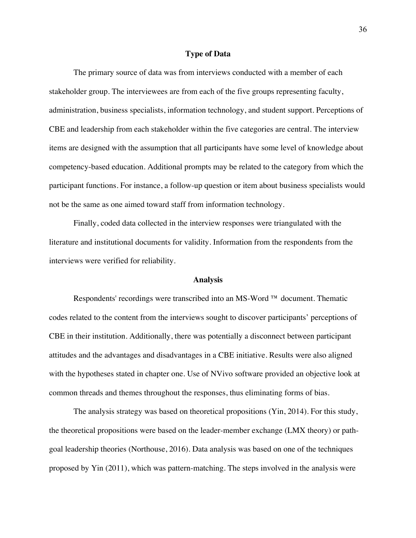### **Type of Data**

The primary source of data was from interviews conducted with a member of each stakeholder group. The interviewees are from each of the five groups representing faculty, administration, business specialists, information technology, and student support. Perceptions of CBE and leadership from each stakeholder within the five categories are central. The interview items are designed with the assumption that all participants have some level of knowledge about competency-based education. Additional prompts may be related to the category from which the participant functions. For instance, a follow-up question or item about business specialists would not be the same as one aimed toward staff from information technology.

Finally, coded data collected in the interview responses were triangulated with the literature and institutional documents for validity. Information from the respondents from the interviews were verified for reliability.

# **Analysis**

Respondents' recordings were transcribed into an MS-Word ™ document. Thematic codes related to the content from the interviews sought to discover participants' perceptions of CBE in their institution. Additionally, there was potentially a disconnect between participant attitudes and the advantages and disadvantages in a CBE initiative. Results were also aligned with the hypotheses stated in chapter one. Use of NVivo software provided an objective look at common threads and themes throughout the responses, thus eliminating forms of bias.

The analysis strategy was based on theoretical propositions (Yin, 2014). For this study, the theoretical propositions were based on the leader-member exchange (LMX theory) or pathgoal leadership theories (Northouse, 2016). Data analysis was based on one of the techniques proposed by Yin (2011), which was pattern-matching. The steps involved in the analysis were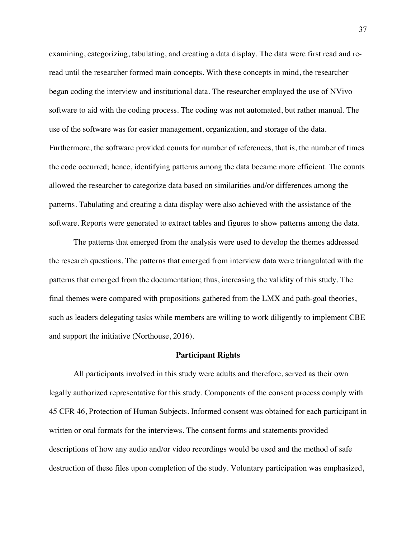examining, categorizing, tabulating, and creating a data display. The data were first read and reread until the researcher formed main concepts. With these concepts in mind, the researcher began coding the interview and institutional data. The researcher employed the use of NVivo software to aid with the coding process. The coding was not automated, but rather manual. The use of the software was for easier management, organization, and storage of the data. Furthermore, the software provided counts for number of references, that is, the number of times the code occurred; hence, identifying patterns among the data became more efficient. The counts allowed the researcher to categorize data based on similarities and/or differences among the patterns. Tabulating and creating a data display were also achieved with the assistance of the software. Reports were generated to extract tables and figures to show patterns among the data.

The patterns that emerged from the analysis were used to develop the themes addressed the research questions. The patterns that emerged from interview data were triangulated with the patterns that emerged from the documentation; thus, increasing the validity of this study. The final themes were compared with propositions gathered from the LMX and path-goal theories, such as leaders delegating tasks while members are willing to work diligently to implement CBE and support the initiative (Northouse, 2016).

### **Participant Rights**

All participants involved in this study were adults and therefore, served as their own legally authorized representative for this study. Components of the consent process comply with 45 CFR 46, Protection of Human Subjects. Informed consent was obtained for each participant in written or oral formats for the interviews. The consent forms and statements provided descriptions of how any audio and/or video recordings would be used and the method of safe destruction of these files upon completion of the study. Voluntary participation was emphasized,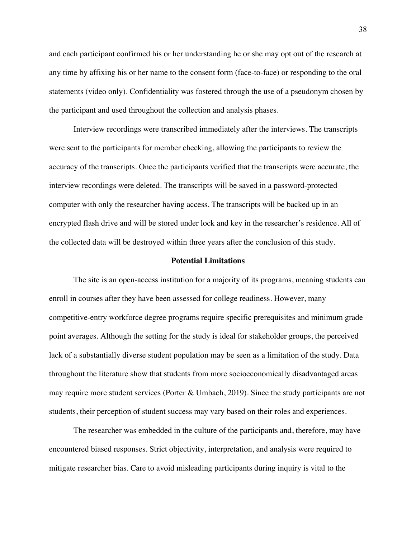and each participant confirmed his or her understanding he or she may opt out of the research at any time by affixing his or her name to the consent form (face-to-face) or responding to the oral statements (video only). Confidentiality was fostered through the use of a pseudonym chosen by the participant and used throughout the collection and analysis phases.

Interview recordings were transcribed immediately after the interviews. The transcripts were sent to the participants for member checking, allowing the participants to review the accuracy of the transcripts. Once the participants verified that the transcripts were accurate, the interview recordings were deleted. The transcripts will be saved in a password-protected computer with only the researcher having access. The transcripts will be backed up in an encrypted flash drive and will be stored under lock and key in the researcher's residence. All of the collected data will be destroyed within three years after the conclusion of this study.

# **Potential Limitations**

The site is an open-access institution for a majority of its programs, meaning students can enroll in courses after they have been assessed for college readiness. However, many competitive-entry workforce degree programs require specific prerequisites and minimum grade point averages. Although the setting for the study is ideal for stakeholder groups, the perceived lack of a substantially diverse student population may be seen as a limitation of the study. Data throughout the literature show that students from more socioeconomically disadvantaged areas may require more student services (Porter & Umbach, 2019). Since the study participants are not students, their perception of student success may vary based on their roles and experiences.

The researcher was embedded in the culture of the participants and, therefore, may have encountered biased responses. Strict objectivity, interpretation, and analysis were required to mitigate researcher bias. Care to avoid misleading participants during inquiry is vital to the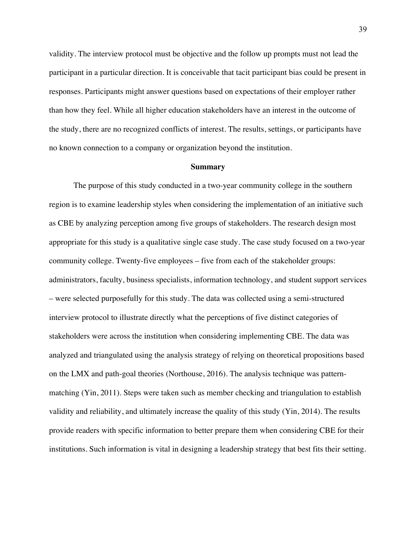validity. The interview protocol must be objective and the follow up prompts must not lead the participant in a particular direction. It is conceivable that tacit participant bias could be present in responses. Participants might answer questions based on expectations of their employer rather than how they feel. While all higher education stakeholders have an interest in the outcome of the study, there are no recognized conflicts of interest. The results, settings, or participants have no known connection to a company or organization beyond the institution.

#### **Summary**

The purpose of this study conducted in a two-year community college in the southern region is to examine leadership styles when considering the implementation of an initiative such as CBE by analyzing perception among five groups of stakeholders. The research design most appropriate for this study is a qualitative single case study. The case study focused on a two-year community college. Twenty-five employees – five from each of the stakeholder groups: administrators, faculty, business specialists, information technology, and student support services – were selected purposefully for this study. The data was collected using a semi-structured interview protocol to illustrate directly what the perceptions of five distinct categories of stakeholders were across the institution when considering implementing CBE. The data was analyzed and triangulated using the analysis strategy of relying on theoretical propositions based on the LMX and path-goal theories (Northouse, 2016). The analysis technique was patternmatching (Yin, 2011). Steps were taken such as member checking and triangulation to establish validity and reliability, and ultimately increase the quality of this study (Yin, 2014). The results provide readers with specific information to better prepare them when considering CBE for their institutions. Such information is vital in designing a leadership strategy that best fits their setting.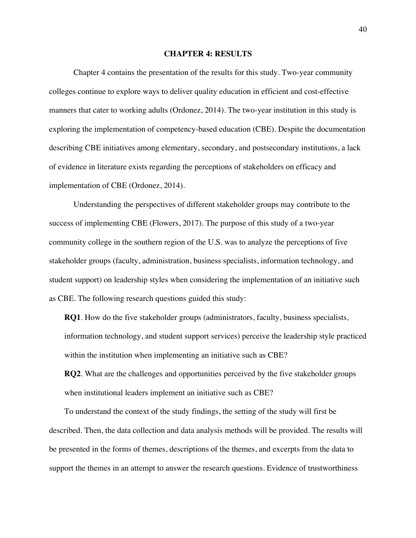# **CHAPTER 4: RESULTS**

Chapter 4 contains the presentation of the results for this study. Two-year community colleges continue to explore ways to deliver quality education in efficient and cost-effective manners that cater to working adults (Ordonez, 2014). The two-year institution in this study is exploring the implementation of competency-based education (CBE). Despite the documentation describing CBE initiatives among elementary, secondary, and postsecondary institutions, a lack of evidence in literature exists regarding the perceptions of stakeholders on efficacy and implementation of CBE (Ordonez, 2014).

Understanding the perspectives of different stakeholder groups may contribute to the success of implementing CBE (Flowers, 2017). The purpose of this study of a two-year community college in the southern region of the U.S. was to analyze the perceptions of five stakeholder groups (faculty, administration, business specialists, information technology, and student support) on leadership styles when considering the implementation of an initiative such as CBE. The following research questions guided this study:

**RQ1**. How do the five stakeholder groups (administrators, faculty, business specialists, information technology, and student support services) perceive the leadership style practiced within the institution when implementing an initiative such as CBE?

**RQ2**. What are the challenges and opportunities perceived by the five stakeholder groups when institutional leaders implement an initiative such as CBE?

To understand the context of the study findings, the setting of the study will first be described. Then, the data collection and data analysis methods will be provided. The results will be presented in the forms of themes, descriptions of the themes, and excerpts from the data to support the themes in an attempt to answer the research questions. Evidence of trustworthiness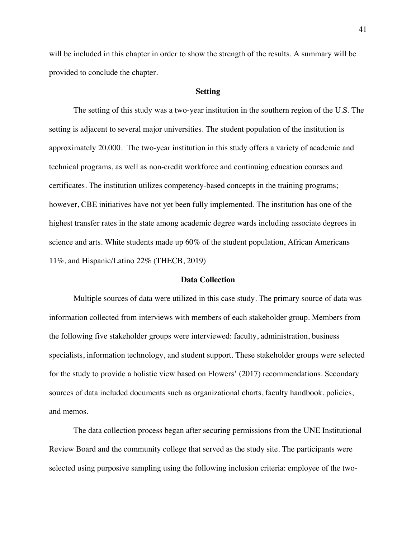will be included in this chapter in order to show the strength of the results. A summary will be provided to conclude the chapter.

### **Setting**

The setting of this study was a two-year institution in the southern region of the U.S. The setting is adjacent to several major universities. The student population of the institution is approximately 20,000. The two-year institution in this study offers a variety of academic and technical programs, as well as non-credit workforce and continuing education courses and certificates. The institution utilizes competency-based concepts in the training programs; however, CBE initiatives have not yet been fully implemented. The institution has one of the highest transfer rates in the state among academic degree wards including associate degrees in science and arts. White students made up 60% of the student population, African Americans 11%, and Hispanic/Latino 22% (THECB, 2019)

# **Data Collection**

Multiple sources of data were utilized in this case study. The primary source of data was information collected from interviews with members of each stakeholder group. Members from the following five stakeholder groups were interviewed: faculty, administration, business specialists, information technology, and student support. These stakeholder groups were selected for the study to provide a holistic view based on Flowers' (2017) recommendations. Secondary sources of data included documents such as organizational charts, faculty handbook, policies, and memos.

The data collection process began after securing permissions from the UNE Institutional Review Board and the community college that served as the study site. The participants were selected using purposive sampling using the following inclusion criteria: employee of the two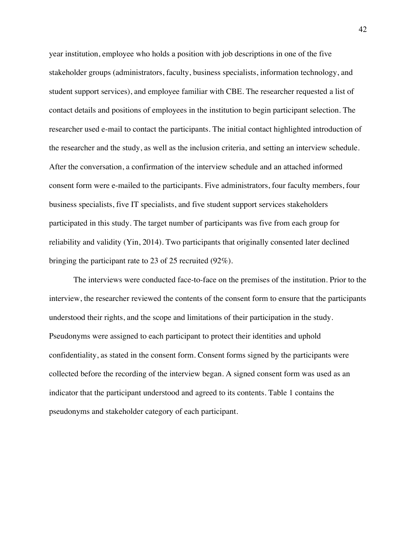year institution, employee who holds a position with job descriptions in one of the five stakeholder groups (administrators, faculty, business specialists, information technology, and student support services), and employee familiar with CBE. The researcher requested a list of contact details and positions of employees in the institution to begin participant selection. The researcher used e-mail to contact the participants. The initial contact highlighted introduction of the researcher and the study, as well as the inclusion criteria, and setting an interview schedule. After the conversation, a confirmation of the interview schedule and an attached informed consent form were e-mailed to the participants. Five administrators, four faculty members, four business specialists, five IT specialists, and five student support services stakeholders participated in this study. The target number of participants was five from each group for reliability and validity (Yin, 2014). Two participants that originally consented later declined bringing the participant rate to 23 of 25 recruited (92%).

The interviews were conducted face-to-face on the premises of the institution. Prior to the interview, the researcher reviewed the contents of the consent form to ensure that the participants understood their rights, and the scope and limitations of their participation in the study. Pseudonyms were assigned to each participant to protect their identities and uphold confidentiality, as stated in the consent form. Consent forms signed by the participants were collected before the recording of the interview began. A signed consent form was used as an indicator that the participant understood and agreed to its contents. Table 1 contains the pseudonyms and stakeholder category of each participant.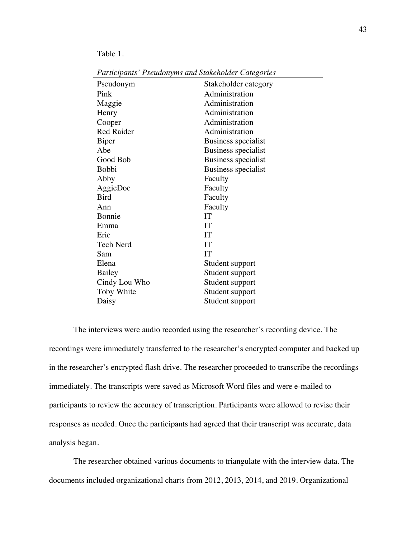Table 1.

| Pseudonym         | Stakeholder category |
|-------------------|----------------------|
| Pink              | Administration       |
| Maggie            | Administration       |
| Henry             | Administration       |
| Cooper            | Administration       |
| <b>Red Raider</b> | Administration       |
| Biper             | Business specialist  |
| Abe               | Business specialist  |
| Good Bob          | Business specialist  |
| <b>Bobbi</b>      | Business specialist  |
| Abby              | Faculty              |
| AggieDoc          | Faculty              |
| <b>Bird</b>       | Faculty              |
| Ann               | Faculty              |
| Bonnie            | <b>IT</b>            |
| Emma              | IT                   |
| Eric              | IT                   |
| <b>Tech Nerd</b>  | IT                   |
| Sam               | IT                   |
| Elena             | Student support      |
| Bailey            | Student support      |
| Cindy Lou Who     | Student support      |
| Toby White        | Student support      |
| Daisy             | Student support      |

*Participants' Pseudonyms and Stakeholder Categories*

The interviews were audio recorded using the researcher's recording device. The recordings were immediately transferred to the researcher's encrypted computer and backed up in the researcher's encrypted flash drive. The researcher proceeded to transcribe the recordings immediately. The transcripts were saved as Microsoft Word files and were e-mailed to participants to review the accuracy of transcription. Participants were allowed to revise their responses as needed. Once the participants had agreed that their transcript was accurate, data analysis began.

The researcher obtained various documents to triangulate with the interview data. The documents included organizational charts from 2012, 2013, 2014, and 2019. Organizational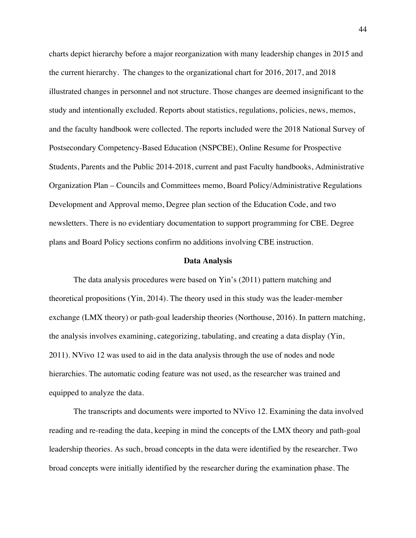charts depict hierarchy before a major reorganization with many leadership changes in 2015 and the current hierarchy. The changes to the organizational chart for 2016, 2017, and 2018 illustrated changes in personnel and not structure. Those changes are deemed insignificant to the study and intentionally excluded. Reports about statistics, regulations, policies, news, memos, and the faculty handbook were collected. The reports included were the 2018 National Survey of Postsecondary Competency-Based Education (NSPCBE), Online Resume for Prospective Students, Parents and the Public 2014-2018, current and past Faculty handbooks, Administrative Organization Plan – Councils and Committees memo, Board Policy/Administrative Regulations Development and Approval memo, Degree plan section of the Education Code, and two newsletters. There is no evidentiary documentation to support programming for CBE. Degree plans and Board Policy sections confirm no additions involving CBE instruction.

#### **Data Analysis**

The data analysis procedures were based on Yin's (2011) pattern matching and theoretical propositions (Yin, 2014). The theory used in this study was the leader-member exchange (LMX theory) or path-goal leadership theories (Northouse, 2016). In pattern matching, the analysis involves examining, categorizing, tabulating, and creating a data display (Yin, 2011). NVivo 12 was used to aid in the data analysis through the use of nodes and node hierarchies. The automatic coding feature was not used, as the researcher was trained and equipped to analyze the data.

The transcripts and documents were imported to NVivo 12. Examining the data involved reading and re-reading the data, keeping in mind the concepts of the LMX theory and path-goal leadership theories. As such, broad concepts in the data were identified by the researcher. Two broad concepts were initially identified by the researcher during the examination phase. The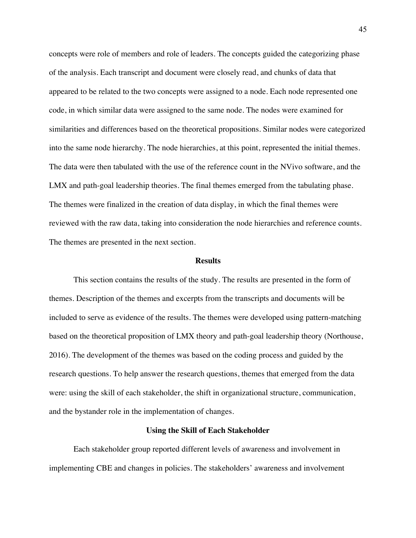concepts were role of members and role of leaders. The concepts guided the categorizing phase of the analysis. Each transcript and document were closely read, and chunks of data that appeared to be related to the two concepts were assigned to a node. Each node represented one code, in which similar data were assigned to the same node. The nodes were examined for similarities and differences based on the theoretical propositions. Similar nodes were categorized into the same node hierarchy. The node hierarchies, at this point, represented the initial themes. The data were then tabulated with the use of the reference count in the NVivo software, and the LMX and path-goal leadership theories. The final themes emerged from the tabulating phase. The themes were finalized in the creation of data display, in which the final themes were reviewed with the raw data, taking into consideration the node hierarchies and reference counts. The themes are presented in the next section.

# **Results**

This section contains the results of the study. The results are presented in the form of themes. Description of the themes and excerpts from the transcripts and documents will be included to serve as evidence of the results. The themes were developed using pattern-matching based on the theoretical proposition of LMX theory and path-goal leadership theory (Northouse, 2016). The development of the themes was based on the coding process and guided by the research questions. To help answer the research questions, themes that emerged from the data were: using the skill of each stakeholder, the shift in organizational structure, communication, and the bystander role in the implementation of changes.

### **Using the Skill of Each Stakeholder**

Each stakeholder group reported different levels of awareness and involvement in implementing CBE and changes in policies. The stakeholders' awareness and involvement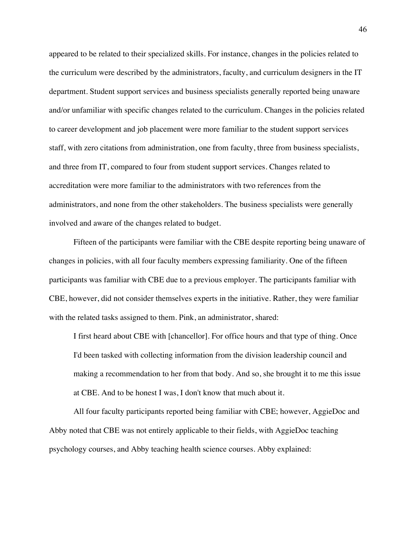appeared to be related to their specialized skills. For instance, changes in the policies related to the curriculum were described by the administrators, faculty, and curriculum designers in the IT department. Student support services and business specialists generally reported being unaware and/or unfamiliar with specific changes related to the curriculum. Changes in the policies related to career development and job placement were more familiar to the student support services staff, with zero citations from administration, one from faculty, three from business specialists, and three from IT, compared to four from student support services. Changes related to accreditation were more familiar to the administrators with two references from the administrators, and none from the other stakeholders. The business specialists were generally involved and aware of the changes related to budget.

Fifteen of the participants were familiar with the CBE despite reporting being unaware of changes in policies, with all four faculty members expressing familiarity. One of the fifteen participants was familiar with CBE due to a previous employer. The participants familiar with CBE, however, did not consider themselves experts in the initiative. Rather, they were familiar with the related tasks assigned to them. Pink, an administrator, shared:

I first heard about CBE with [chancellor]. For office hours and that type of thing. Once I'd been tasked with collecting information from the division leadership council and making a recommendation to her from that body. And so, she brought it to me this issue at CBE. And to be honest I was, I don't know that much about it.

All four faculty participants reported being familiar with CBE; however, AggieDoc and Abby noted that CBE was not entirely applicable to their fields, with AggieDoc teaching psychology courses, and Abby teaching health science courses. Abby explained: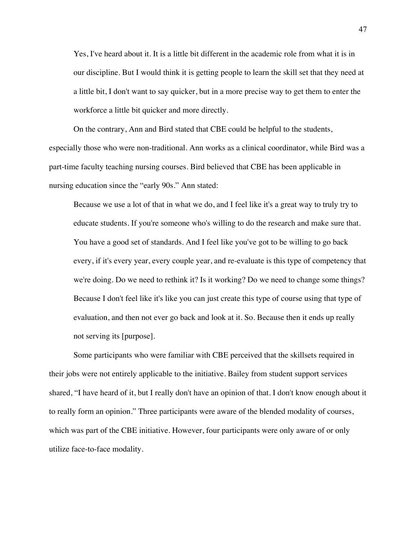Yes, I've heard about it. It is a little bit different in the academic role from what it is in our discipline. But I would think it is getting people to learn the skill set that they need at a little bit, I don't want to say quicker, but in a more precise way to get them to enter the workforce a little bit quicker and more directly.

On the contrary, Ann and Bird stated that CBE could be helpful to the students, especially those who were non-traditional. Ann works as a clinical coordinator, while Bird was a part-time faculty teaching nursing courses. Bird believed that CBE has been applicable in nursing education since the "early 90s." Ann stated:

Because we use a lot of that in what we do, and I feel like it's a great way to truly try to educate students. If you're someone who's willing to do the research and make sure that. You have a good set of standards. And I feel like you've got to be willing to go back every, if it's every year, every couple year, and re-evaluate is this type of competency that we're doing. Do we need to rethink it? Is it working? Do we need to change some things? Because I don't feel like it's like you can just create this type of course using that type of evaluation, and then not ever go back and look at it. So. Because then it ends up really not serving its [purpose].

Some participants who were familiar with CBE perceived that the skillsets required in their jobs were not entirely applicable to the initiative. Bailey from student support services shared, "I have heard of it, but I really don't have an opinion of that. I don't know enough about it to really form an opinion." Three participants were aware of the blended modality of courses, which was part of the CBE initiative. However, four participants were only aware of or only utilize face-to-face modality.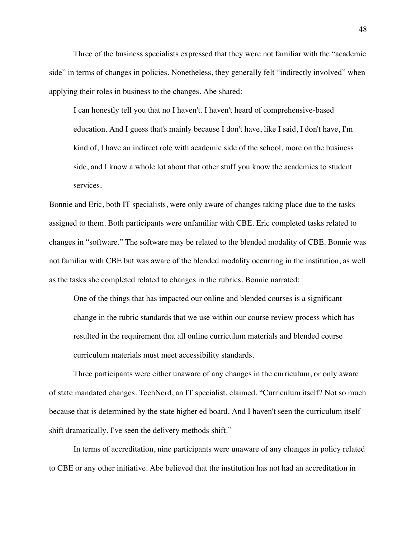Three of the business specialists expressed that they were not familiar with the "academic side" in terms of changes in policies. Nonetheless, they generally felt "indirectly involved" when applying their roles in business to the changes. Abe shared:

I can honestly tell you that no I haven't. I haven't heard of comprehensive-based education. And I guess that's mainly because I don't have, like I said, I don't have, I'm kind of, I have an indirect role with academic side of the school, more on the business side, and I know a whole lot about that other stuff you know the academics to student services.

Bonnie and Eric, both IT specialists, were only aware of changes taking place due to the tasks assigned to them. Both participants were unfamiliar with CBE. Eric completed tasks related to changes in "software." The software may be related to the blended modality of CBE. Bonnie was not familiar with CBE but was aware of the blended modality occurring in the institution, as well as the tasks she completed related to changes in the rubrics. Bonnie narrated:

One of the things that has impacted our online and blended courses is a significant change in the rubric standards that we use within our course review process which has resulted in the requirement that all online curriculum materials and blended course curriculum materials must meet accessibility standards.

Three participants were either unaware of any changes in the curriculum, or only aware of state mandated changes. TechNerd, an IT specialist, claimed, "Curriculum itself? Not so much because that is determined by the state higher ed board. And I haven't seen the curriculum itself shift dramatically. I've seen the delivery methods shift."

In terms of accreditation, nine participants were unaware of any changes in policy related to CBE or any other initiative. Abe believed that the institution has not had an accreditation in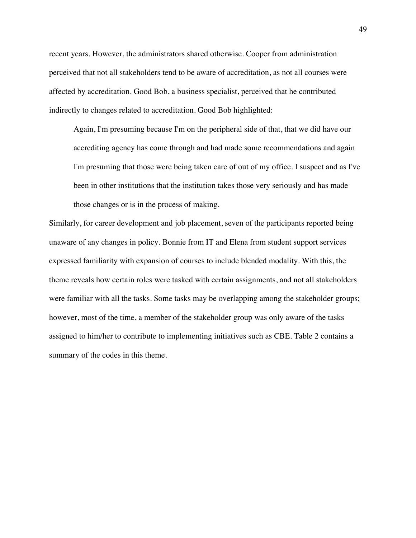recent years. However, the administrators shared otherwise. Cooper from administration perceived that not all stakeholders tend to be aware of accreditation, as not all courses were affected by accreditation. Good Bob, a business specialist, perceived that he contributed indirectly to changes related to accreditation. Good Bob highlighted:

Again, I'm presuming because I'm on the peripheral side of that, that we did have our accrediting agency has come through and had made some recommendations and again I'm presuming that those were being taken care of out of my office. I suspect and as I've been in other institutions that the institution takes those very seriously and has made those changes or is in the process of making.

Similarly, for career development and job placement, seven of the participants reported being unaware of any changes in policy. Bonnie from IT and Elena from student support services expressed familiarity with expansion of courses to include blended modality. With this, the theme reveals how certain roles were tasked with certain assignments, and not all stakeholders were familiar with all the tasks. Some tasks may be overlapping among the stakeholder groups; however, most of the time, a member of the stakeholder group was only aware of the tasks assigned to him/her to contribute to implementing initiatives such as CBE. Table 2 contains a summary of the codes in this theme.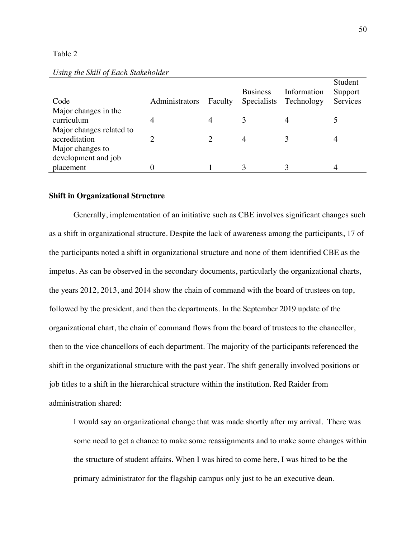## Table 2

|                          |                |         |                    |             | Student  |
|--------------------------|----------------|---------|--------------------|-------------|----------|
|                          |                |         | <b>Business</b>    | Information | Support  |
| Code                     | Administrators | Faculty | <b>Specialists</b> | Technology  | Services |
| Major changes in the     |                |         |                    |             |          |
| curriculum               | 4              |         | 3                  |             |          |
| Major changes related to |                |         |                    |             |          |
| accreditation            |                |         |                    |             |          |
| Major changes to         |                |         |                    |             |          |
| development and job      |                |         |                    |             |          |
| placement                |                |         |                    |             |          |

# *Using the Skill of Each Stakeholder*

# **Shift in Organizational Structure**

Generally, implementation of an initiative such as CBE involves significant changes such as a shift in organizational structure. Despite the lack of awareness among the participants, 17 of the participants noted a shift in organizational structure and none of them identified CBE as the impetus. As can be observed in the secondary documents, particularly the organizational charts, the years 2012, 2013, and 2014 show the chain of command with the board of trustees on top, followed by the president, and then the departments. In the September 2019 update of the organizational chart, the chain of command flows from the board of trustees to the chancellor, then to the vice chancellors of each department. The majority of the participants referenced the shift in the organizational structure with the past year. The shift generally involved positions or job titles to a shift in the hierarchical structure within the institution. Red Raider from administration shared:

I would say an organizational change that was made shortly after my arrival. There was some need to get a chance to make some reassignments and to make some changes within the structure of student affairs. When I was hired to come here, I was hired to be the primary administrator for the flagship campus only just to be an executive dean.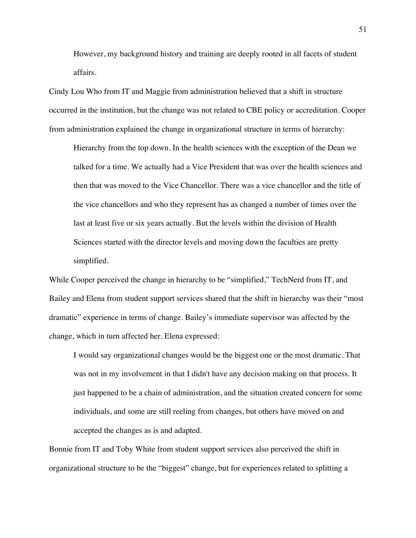However, my background history and training are deeply rooted in all facets of student affairs.

Cindy Lou Who from IT and Maggie from administration believed that a shift in structure occurred in the institution, but the change was not related to CBE policy or accreditation. Cooper from administration explained the change in organizational structure in terms of hierarchy:

Hierarchy from the top down. In the health sciences with the exception of the Dean we talked for a time. We actually had a Vice President that was over the health sciences and then that was moved to the Vice Chancellor. There was a vice chancellor and the title of the vice chancellors and who they represent has as changed a number of times over the last at least five or six years actually. But the levels within the division of Health Sciences started with the director levels and moving down the faculties are pretty simplified.

While Cooper perceived the change in hierarchy to be "simplified," TechNerd from IT, and Bailey and Elena from student support services shared that the shift in hierarchy was their "most dramatic" experience in terms of change. Bailey's immediate supervisor was affected by the change, which in turn affected her. Elena expressed:

I would say organizational changes would be the biggest one or the most dramatic. That was not in my involvement in that I didn't have any decision making on that process. It just happened to be a chain of administration, and the situation created concern for some individuals, and some are still reeling from changes, but others have moved on and accepted the changes as is and adapted.

Bonnie from IT and Toby White from student support services also perceived the shift in organizational structure to be the "biggest" change, but for experiences related to splitting a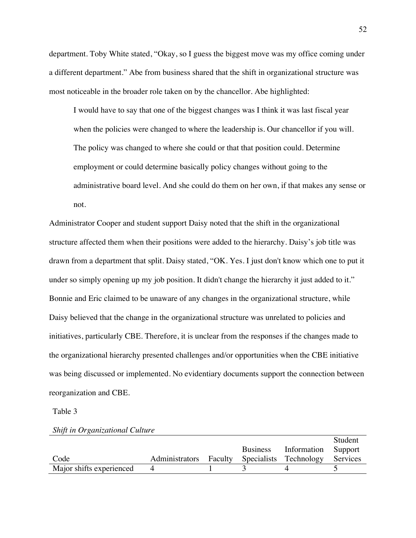department. Toby White stated, "Okay, so I guess the biggest move was my office coming under a different department." Abe from business shared that the shift in organizational structure was most noticeable in the broader role taken on by the chancellor. Abe highlighted:

I would have to say that one of the biggest changes was I think it was last fiscal year when the policies were changed to where the leadership is. Our chancellor if you will. The policy was changed to where she could or that that position could. Determine employment or could determine basically policy changes without going to the administrative board level. And she could do them on her own, if that makes any sense or not.

Administrator Cooper and student support Daisy noted that the shift in the organizational structure affected them when their positions were added to the hierarchy. Daisy's job title was drawn from a department that split. Daisy stated, "OK. Yes. I just don't know which one to put it under so simply opening up my job position. It didn't change the hierarchy it just added to it." Bonnie and Eric claimed to be unaware of any changes in the organizational structure, while Daisy believed that the change in the organizational structure was unrelated to policies and initiatives, particularly CBE. Therefore, it is unclear from the responses if the changes made to the organizational hierarchy presented challenges and/or opportunities when the CBE initiative was being discussed or implemented. No evidentiary documents support the connection between reorganization and CBE.

Table 3

|                          |                        |                 |                        | Student  |
|--------------------------|------------------------|-----------------|------------------------|----------|
|                          |                        | <b>Business</b> | Information            | Support  |
| Code                     | Administrators Faculty |                 | Specialists Technology | Services |
| Major shifts experienced |                        |                 |                        |          |

## *Shift in Organizational Culture*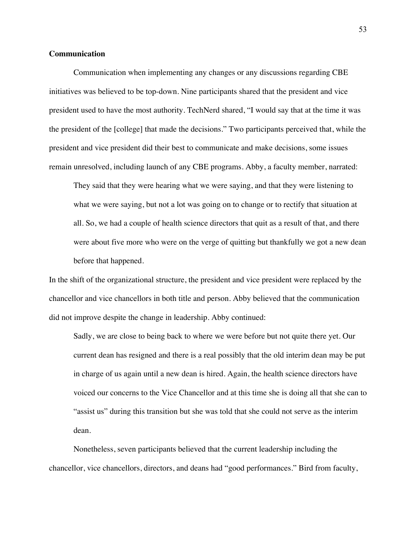# **Communication**

Communication when implementing any changes or any discussions regarding CBE initiatives was believed to be top-down. Nine participants shared that the president and vice president used to have the most authority. TechNerd shared, "I would say that at the time it was the president of the [college] that made the decisions." Two participants perceived that, while the president and vice president did their best to communicate and make decisions, some issues remain unresolved, including launch of any CBE programs. Abby, a faculty member, narrated:

They said that they were hearing what we were saying, and that they were listening to what we were saying, but not a lot was going on to change or to rectify that situation at all. So, we had a couple of health science directors that quit as a result of that, and there were about five more who were on the verge of quitting but thankfully we got a new dean before that happened.

In the shift of the organizational structure, the president and vice president were replaced by the chancellor and vice chancellors in both title and person. Abby believed that the communication did not improve despite the change in leadership. Abby continued:

Sadly, we are close to being back to where we were before but not quite there yet. Our current dean has resigned and there is a real possibly that the old interim dean may be put in charge of us again until a new dean is hired. Again, the health science directors have voiced our concerns to the Vice Chancellor and at this time she is doing all that she can to "assist us" during this transition but she was told that she could not serve as the interim dean.

Nonetheless, seven participants believed that the current leadership including the chancellor, vice chancellors, directors, and deans had "good performances." Bird from faculty,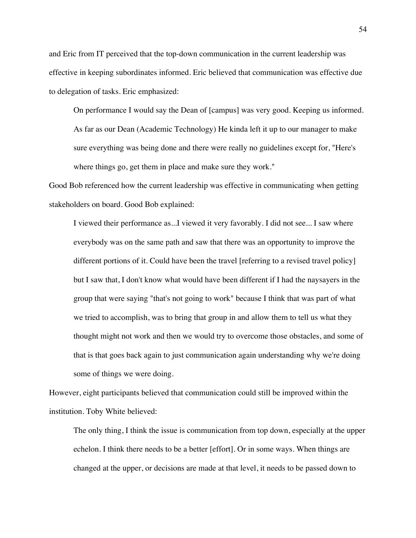and Eric from IT perceived that the top-down communication in the current leadership was effective in keeping subordinates informed. Eric believed that communication was effective due to delegation of tasks. Eric emphasized:

On performance I would say the Dean of [campus] was very good. Keeping us informed. As far as our Dean (Academic Technology) He kinda left it up to our manager to make sure everything was being done and there were really no guidelines except for, "Here's where things go, get them in place and make sure they work."

Good Bob referenced how the current leadership was effective in communicating when getting stakeholders on board. Good Bob explained:

I viewed their performance as...I viewed it very favorably. I did not see... I saw where everybody was on the same path and saw that there was an opportunity to improve the different portions of it. Could have been the travel [referring to a revised travel policy] but I saw that, I don't know what would have been different if I had the naysayers in the group that were saying "that's not going to work" because I think that was part of what we tried to accomplish, was to bring that group in and allow them to tell us what they thought might not work and then we would try to overcome those obstacles, and some of that is that goes back again to just communication again understanding why we're doing some of things we were doing.

However, eight participants believed that communication could still be improved within the institution. Toby White believed:

The only thing, I think the issue is communication from top down, especially at the upper echelon. I think there needs to be a better [effort]. Or in some ways. When things are changed at the upper, or decisions are made at that level, it needs to be passed down to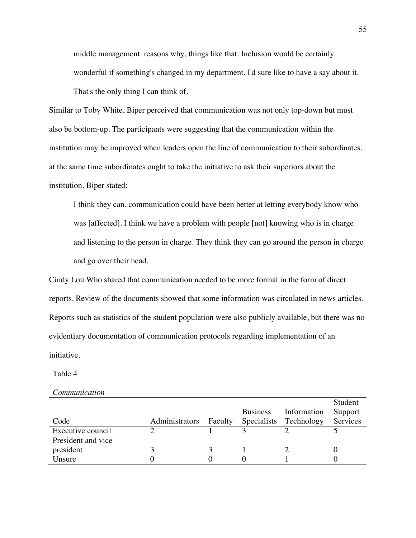middle management. reasons why, things like that. Inclusion would be certainly wonderful if something's changed in my department, I'd sure like to have a say about it. That's the only thing I can think of.

Similar to Toby White, Biper perceived that communication was not only top-down but must also be bottom-up. The participants were suggesting that the communication within the institution may be improved when leaders open the line of communication to their subordinates, at the same time subordinates ought to take the initiative to ask their superiors about the institution. Biper stated:

I think they can, communication could have been better at letting everybody know who was [affected]. I think we have a problem with people [not] knowing who is in charge and listening to the person in charge. They think they can go around the person in charge and go over their head.

Cindy Lou Who shared that communication needed to be more formal in the form of direct reports. Review of the documents showed that some information was circulated in news articles. Reports such as statistics of the student population were also publicly available, but there was no evidentiary documentation of communication protocols regarding implementation of an initiative.

Table 4

*Communication*

|                    |                |         |                 |             | Student  |
|--------------------|----------------|---------|-----------------|-------------|----------|
|                    |                |         | <b>Business</b> | Information | Support  |
| Code               | Administrators | Faculty | Specialists     | Technology  | Services |
| Executive council  |                |         |                 |             |          |
| President and vice |                |         |                 |             |          |
| president          |                |         |                 |             |          |
| Unsure             |                |         |                 |             |          |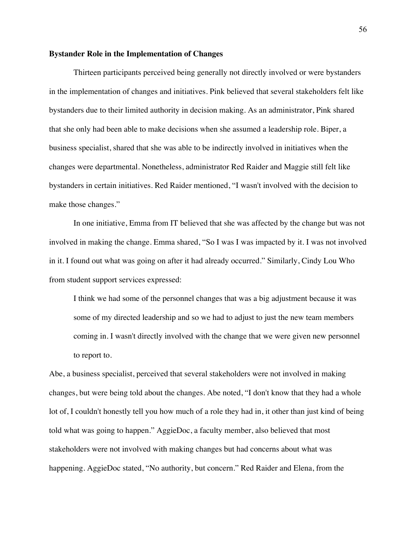### **Bystander Role in the Implementation of Changes**

Thirteen participants perceived being generally not directly involved or were bystanders in the implementation of changes and initiatives. Pink believed that several stakeholders felt like bystanders due to their limited authority in decision making. As an administrator, Pink shared that she only had been able to make decisions when she assumed a leadership role. Biper, a business specialist, shared that she was able to be indirectly involved in initiatives when the changes were departmental. Nonetheless, administrator Red Raider and Maggie still felt like bystanders in certain initiatives. Red Raider mentioned, "I wasn't involved with the decision to make those changes."

In one initiative, Emma from IT believed that she was affected by the change but was not involved in making the change. Emma shared, "So I was I was impacted by it. I was not involved in it. I found out what was going on after it had already occurred." Similarly, Cindy Lou Who from student support services expressed:

I think we had some of the personnel changes that was a big adjustment because it was some of my directed leadership and so we had to adjust to just the new team members coming in. I wasn't directly involved with the change that we were given new personnel to report to.

Abe, a business specialist, perceived that several stakeholders were not involved in making changes, but were being told about the changes. Abe noted, "I don't know that they had a whole lot of, I couldn't honestly tell you how much of a role they had in, it other than just kind of being told what was going to happen." AggieDoc, a faculty member, also believed that most stakeholders were not involved with making changes but had concerns about what was happening. AggieDoc stated, "No authority, but concern." Red Raider and Elena, from the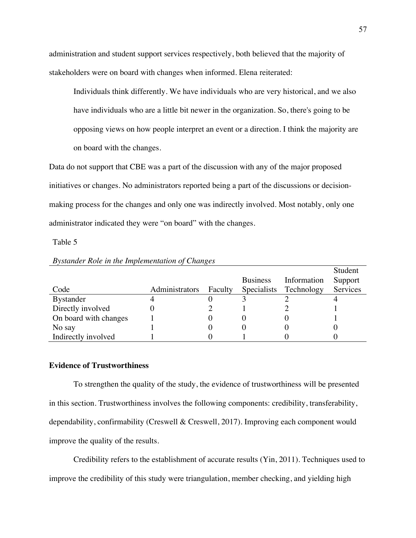administration and student support services respectively, both believed that the majority of stakeholders were on board with changes when informed. Elena reiterated:

Individuals think differently. We have individuals who are very historical, and we also have individuals who are a little bit newer in the organization. So, there's going to be opposing views on how people interpret an event or a direction. I think the majority are on board with the changes.

Data do not support that CBE was a part of the discussion with any of the major proposed initiatives or changes. No administrators reported being a part of the discussions or decisionmaking process for the changes and only one was indirectly involved. Most notably, only one administrator indicated they were "on board" with the changes.

Table 5

|                       |                |         |                 |             | Student  |
|-----------------------|----------------|---------|-----------------|-------------|----------|
|                       |                |         | <b>Business</b> | Information | Support  |
| Code                  | Administrators | Faculty | Specialists     | Technology  | Services |
| <b>Bystander</b>      |                |         |                 |             |          |
| Directly involved     |                |         |                 |             |          |
| On board with changes |                |         |                 |             |          |
| No say                |                |         |                 |             |          |
| Indirectly involved   |                |         |                 |             |          |

# *Bystander Role in the Implementation of Changes*

# **Evidence of Trustworthiness**

To strengthen the quality of the study, the evidence of trustworthiness will be presented in this section. Trustworthiness involves the following components: credibility, transferability, dependability, confirmability (Creswell & Creswell, 2017). Improving each component would improve the quality of the results.

Credibility refers to the establishment of accurate results (Yin, 2011). Techniques used to improve the credibility of this study were triangulation, member checking, and yielding high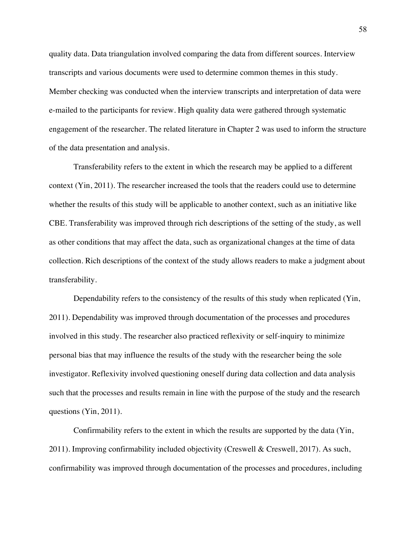quality data. Data triangulation involved comparing the data from different sources. Interview transcripts and various documents were used to determine common themes in this study. Member checking was conducted when the interview transcripts and interpretation of data were e-mailed to the participants for review. High quality data were gathered through systematic engagement of the researcher. The related literature in Chapter 2 was used to inform the structure of the data presentation and analysis.

Transferability refers to the extent in which the research may be applied to a different context (Yin, 2011). The researcher increased the tools that the readers could use to determine whether the results of this study will be applicable to another context, such as an initiative like CBE. Transferability was improved through rich descriptions of the setting of the study, as well as other conditions that may affect the data, such as organizational changes at the time of data collection. Rich descriptions of the context of the study allows readers to make a judgment about transferability.

Dependability refers to the consistency of the results of this study when replicated (Yin, 2011). Dependability was improved through documentation of the processes and procedures involved in this study. The researcher also practiced reflexivity or self-inquiry to minimize personal bias that may influence the results of the study with the researcher being the sole investigator. Reflexivity involved questioning oneself during data collection and data analysis such that the processes and results remain in line with the purpose of the study and the research questions (Yin, 2011).

Confirmability refers to the extent in which the results are supported by the data (Yin, 2011). Improving confirmability included objectivity (Creswell & Creswell, 2017). As such, confirmability was improved through documentation of the processes and procedures, including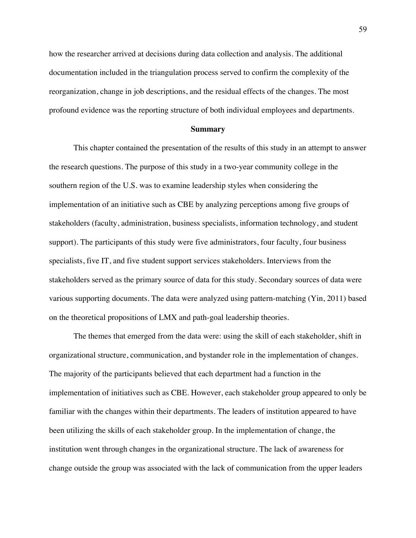how the researcher arrived at decisions during data collection and analysis. The additional documentation included in the triangulation process served to confirm the complexity of the reorganization, change in job descriptions, and the residual effects of the changes. The most profound evidence was the reporting structure of both individual employees and departments.

### **Summary**

This chapter contained the presentation of the results of this study in an attempt to answer the research questions. The purpose of this study in a two-year community college in the southern region of the U.S. was to examine leadership styles when considering the implementation of an initiative such as CBE by analyzing perceptions among five groups of stakeholders (faculty, administration, business specialists, information technology, and student support). The participants of this study were five administrators, four faculty, four business specialists, five IT, and five student support services stakeholders. Interviews from the stakeholders served as the primary source of data for this study. Secondary sources of data were various supporting documents. The data were analyzed using pattern-matching (Yin, 2011) based on the theoretical propositions of LMX and path-goal leadership theories.

The themes that emerged from the data were: using the skill of each stakeholder, shift in organizational structure, communication, and bystander role in the implementation of changes. The majority of the participants believed that each department had a function in the implementation of initiatives such as CBE. However, each stakeholder group appeared to only be familiar with the changes within their departments. The leaders of institution appeared to have been utilizing the skills of each stakeholder group. In the implementation of change, the institution went through changes in the organizational structure. The lack of awareness for change outside the group was associated with the lack of communication from the upper leaders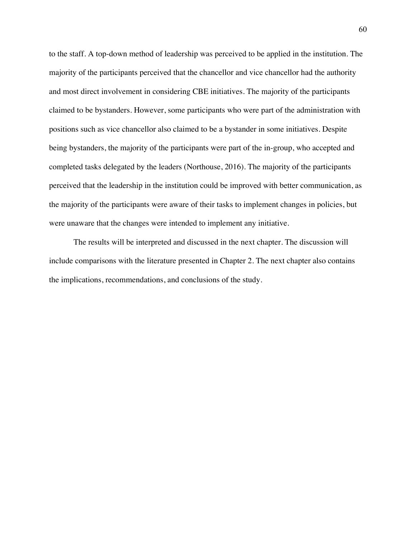to the staff. A top-down method of leadership was perceived to be applied in the institution. The majority of the participants perceived that the chancellor and vice chancellor had the authority and most direct involvement in considering CBE initiatives. The majority of the participants claimed to be bystanders. However, some participants who were part of the administration with positions such as vice chancellor also claimed to be a bystander in some initiatives. Despite being bystanders, the majority of the participants were part of the in-group, who accepted and completed tasks delegated by the leaders (Northouse, 2016). The majority of the participants perceived that the leadership in the institution could be improved with better communication, as the majority of the participants were aware of their tasks to implement changes in policies, but were unaware that the changes were intended to implement any initiative.

The results will be interpreted and discussed in the next chapter. The discussion will include comparisons with the literature presented in Chapter 2. The next chapter also contains the implications, recommendations, and conclusions of the study.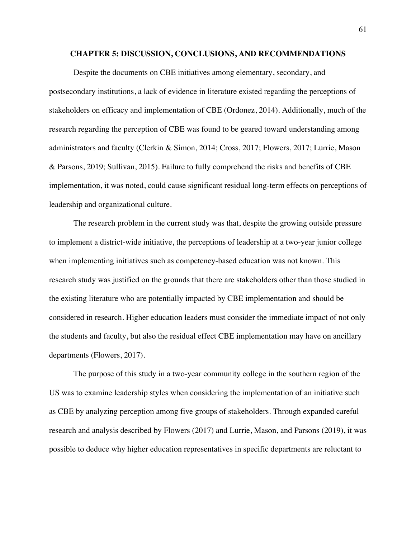### **CHAPTER 5: DISCUSSION, CONCLUSIONS, AND RECOMMENDATIONS**

Despite the documents on CBE initiatives among elementary, secondary, and postsecondary institutions, a lack of evidence in literature existed regarding the perceptions of stakeholders on efficacy and implementation of CBE (Ordonez, 2014). Additionally, much of the research regarding the perception of CBE was found to be geared toward understanding among administrators and faculty (Clerkin & Simon, 2014; Cross, 2017; Flowers, 2017; Lurrie, Mason & Parsons, 2019; Sullivan, 2015). Failure to fully comprehend the risks and benefits of CBE implementation, it was noted, could cause significant residual long-term effects on perceptions of leadership and organizational culture.

The research problem in the current study was that, despite the growing outside pressure to implement a district-wide initiative, the perceptions of leadership at a two-year junior college when implementing initiatives such as competency-based education was not known. This research study was justified on the grounds that there are stakeholders other than those studied in the existing literature who are potentially impacted by CBE implementation and should be considered in research. Higher education leaders must consider the immediate impact of not only the students and faculty, but also the residual effect CBE implementation may have on ancillary departments (Flowers, 2017).

The purpose of this study in a two-year community college in the southern region of the US was to examine leadership styles when considering the implementation of an initiative such as CBE by analyzing perception among five groups of stakeholders. Through expanded careful research and analysis described by Flowers (2017) and Lurrie, Mason, and Parsons (2019), it was possible to deduce why higher education representatives in specific departments are reluctant to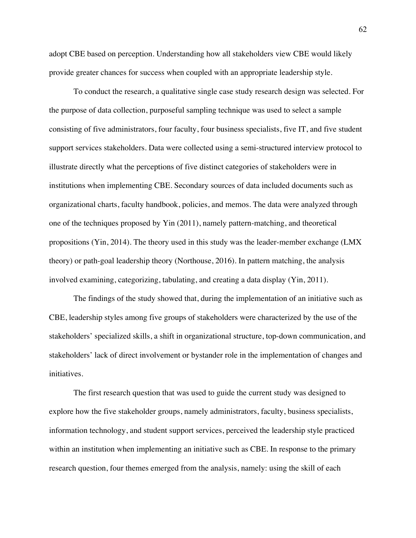adopt CBE based on perception. Understanding how all stakeholders view CBE would likely provide greater chances for success when coupled with an appropriate leadership style.

To conduct the research, a qualitative single case study research design was selected. For the purpose of data collection, purposeful sampling technique was used to select a sample consisting of five administrators, four faculty, four business specialists, five IT, and five student support services stakeholders. Data were collected using a semi-structured interview protocol to illustrate directly what the perceptions of five distinct categories of stakeholders were in institutions when implementing CBE. Secondary sources of data included documents such as organizational charts, faculty handbook, policies, and memos. The data were analyzed through one of the techniques proposed by Yin (2011), namely pattern-matching, and theoretical propositions (Yin, 2014). The theory used in this study was the leader-member exchange (LMX theory) or path-goal leadership theory (Northouse, 2016). In pattern matching, the analysis involved examining, categorizing, tabulating, and creating a data display (Yin, 2011).

The findings of the study showed that, during the implementation of an initiative such as CBE, leadership styles among five groups of stakeholders were characterized by the use of the stakeholders' specialized skills, a shift in organizational structure, top-down communication, and stakeholders' lack of direct involvement or bystander role in the implementation of changes and initiatives.

The first research question that was used to guide the current study was designed to explore how the five stakeholder groups, namely administrators, faculty, business specialists, information technology, and student support services, perceived the leadership style practiced within an institution when implementing an initiative such as CBE. In response to the primary research question, four themes emerged from the analysis, namely: using the skill of each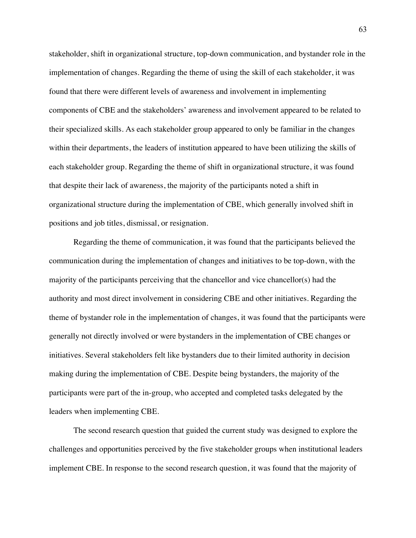stakeholder, shift in organizational structure, top-down communication, and bystander role in the implementation of changes. Regarding the theme of using the skill of each stakeholder, it was found that there were different levels of awareness and involvement in implementing components of CBE and the stakeholders' awareness and involvement appeared to be related to their specialized skills. As each stakeholder group appeared to only be familiar in the changes within their departments, the leaders of institution appeared to have been utilizing the skills of each stakeholder group. Regarding the theme of shift in organizational structure, it was found that despite their lack of awareness, the majority of the participants noted a shift in organizational structure during the implementation of CBE, which generally involved shift in positions and job titles, dismissal, or resignation.

Regarding the theme of communication, it was found that the participants believed the communication during the implementation of changes and initiatives to be top-down, with the majority of the participants perceiving that the chancellor and vice chancellor(s) had the authority and most direct involvement in considering CBE and other initiatives. Regarding the theme of bystander role in the implementation of changes, it was found that the participants were generally not directly involved or were bystanders in the implementation of CBE changes or initiatives. Several stakeholders felt like bystanders due to their limited authority in decision making during the implementation of CBE. Despite being bystanders, the majority of the participants were part of the in-group, who accepted and completed tasks delegated by the leaders when implementing CBE.

The second research question that guided the current study was designed to explore the challenges and opportunities perceived by the five stakeholder groups when institutional leaders implement CBE. In response to the second research question, it was found that the majority of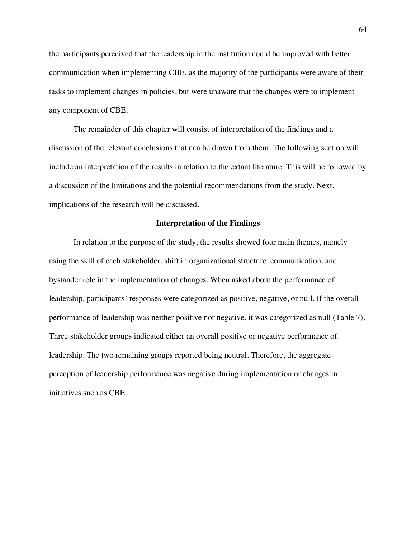the participants perceived that the leadership in the institution could be improved with better communication when implementing CBE, as the majority of the participants were aware of their tasks to implement changes in policies, but were unaware that the changes were to implement any component of CBE.

The remainder of this chapter will consist of interpretation of the findings and a discussion of the relevant conclusions that can be drawn from them. The following section will include an interpretation of the results in relation to the extant literature. This will be followed by a discussion of the limitations and the potential recommendations from the study. Next, implications of the research will be discussed.

#### **Interpretation of the Findings**

In relation to the purpose of the study, the results showed four main themes, namely using the skill of each stakeholder, shift in organizational structure, communication, and bystander role in the implementation of changes. When asked about the performance of leadership, participants' responses were categorized as positive, negative, or null. If the overall performance of leadership was neither positive nor negative, it was categorized as null (Table 7). Three stakeholder groups indicated either an overall positive or negative performance of leadership. The two remaining groups reported being neutral. Therefore, the aggregate perception of leadership performance was negative during implementation or changes in initiatives such as CBE.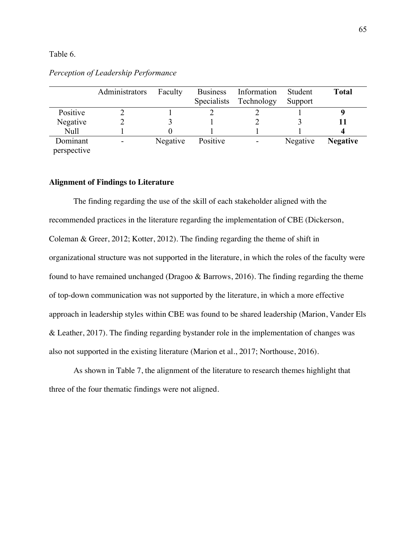## Table 6.

|             | Administrators | Faculty  | <b>Business</b>    | Information | Student  | <b>Total</b>    |
|-------------|----------------|----------|--------------------|-------------|----------|-----------------|
|             |                |          | <b>Specialists</b> | Technology  | Support  |                 |
| Positive    |                |          |                    |             |          |                 |
| Negative    |                |          |                    |             |          |                 |
| <b>Null</b> |                |          |                    |             |          |                 |
| Dominant    | -              | Negative | Positive           |             | Negative | <b>Negative</b> |
| perspective |                |          |                    |             |          |                 |

# *Perception of Leadership Performance*

## **Alignment of Findings to Literature**

The finding regarding the use of the skill of each stakeholder aligned with the recommended practices in the literature regarding the implementation of CBE (Dickerson, Coleman & Greer, 2012; Kotter, 2012). The finding regarding the theme of shift in organizational structure was not supported in the literature, in which the roles of the faculty were found to have remained unchanged (Dragoo & Barrows, 2016). The finding regarding the theme of top-down communication was not supported by the literature, in which a more effective approach in leadership styles within CBE was found to be shared leadership (Marion, Vander Els & Leather, 2017). The finding regarding bystander role in the implementation of changes was also not supported in the existing literature (Marion et al., 2017; Northouse, 2016).

As shown in Table 7, the alignment of the literature to research themes highlight that three of the four thematic findings were not aligned.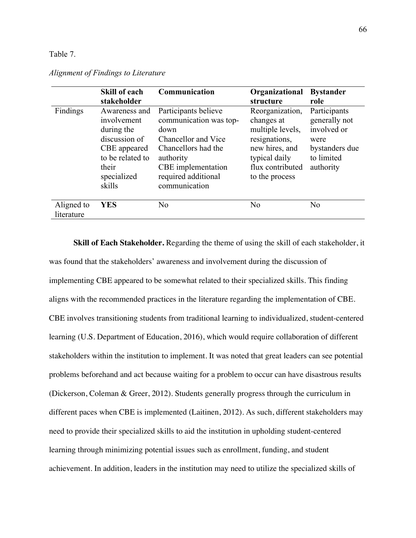## Table 7.

|                          | <b>Skill of each</b>                                                                                                              | Communication                                                                                                                                                                   | Organizational                                                                                                                              | <b>Bystander</b>                                                                                  |
|--------------------------|-----------------------------------------------------------------------------------------------------------------------------------|---------------------------------------------------------------------------------------------------------------------------------------------------------------------------------|---------------------------------------------------------------------------------------------------------------------------------------------|---------------------------------------------------------------------------------------------------|
|                          | stakeholder                                                                                                                       |                                                                                                                                                                                 | structure                                                                                                                                   | role                                                                                              |
| Findings                 | Awareness and<br>involvement<br>during the<br>discussion of<br>CBE appeared<br>to be related to<br>their<br>specialized<br>skills | Participants believe<br>communication was top-<br>down<br>Chancellor and Vice<br>Chancellors had the<br>authority<br>CBE implementation<br>required additional<br>communication | Reorganization,<br>changes at<br>multiple levels,<br>resignations,<br>new hires, and<br>typical daily<br>flux contributed<br>to the process | Participants<br>generally not<br>involved or<br>were<br>bystanders due<br>to limited<br>authority |
| Aligned to<br>literature | <b>YES</b>                                                                                                                        | No                                                                                                                                                                              | No                                                                                                                                          | N <sub>o</sub>                                                                                    |

*Alignment of Findings to Literature*

**Skill of Each Stakeholder.** Regarding the theme of using the skill of each stakeholder, it was found that the stakeholders' awareness and involvement during the discussion of implementing CBE appeared to be somewhat related to their specialized skills. This finding aligns with the recommended practices in the literature regarding the implementation of CBE. CBE involves transitioning students from traditional learning to individualized, student-centered learning (U.S. Department of Education, 2016), which would require collaboration of different stakeholders within the institution to implement. It was noted that great leaders can see potential problems beforehand and act because waiting for a problem to occur can have disastrous results (Dickerson, Coleman & Greer, 2012). Students generally progress through the curriculum in different paces when CBE is implemented (Laitinen, 2012). As such, different stakeholders may need to provide their specialized skills to aid the institution in upholding student-centered learning through minimizing potential issues such as enrollment, funding, and student achievement. In addition, leaders in the institution may need to utilize the specialized skills of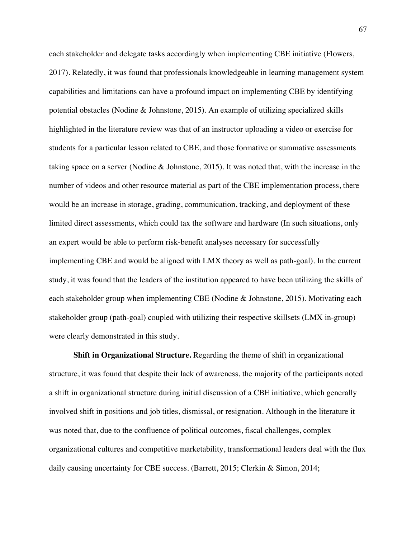each stakeholder and delegate tasks accordingly when implementing CBE initiative (Flowers, 2017). Relatedly, it was found that professionals knowledgeable in learning management system capabilities and limitations can have a profound impact on implementing CBE by identifying potential obstacles (Nodine & Johnstone, 2015). An example of utilizing specialized skills highlighted in the literature review was that of an instructor uploading a video or exercise for students for a particular lesson related to CBE, and those formative or summative assessments taking space on a server (Nodine & Johnstone, 2015). It was noted that, with the increase in the number of videos and other resource material as part of the CBE implementation process, there would be an increase in storage, grading, communication, tracking, and deployment of these limited direct assessments, which could tax the software and hardware (In such situations, only an expert would be able to perform risk-benefit analyses necessary for successfully implementing CBE and would be aligned with LMX theory as well as path-goal). In the current study, it was found that the leaders of the institution appeared to have been utilizing the skills of each stakeholder group when implementing CBE (Nodine & Johnstone, 2015). Motivating each stakeholder group (path-goal) coupled with utilizing their respective skillsets (LMX in-group) were clearly demonstrated in this study.

**Shift in Organizational Structure.** Regarding the theme of shift in organizational structure, it was found that despite their lack of awareness, the majority of the participants noted a shift in organizational structure during initial discussion of a CBE initiative, which generally involved shift in positions and job titles, dismissal, or resignation. Although in the literature it was noted that, due to the confluence of political outcomes, fiscal challenges, complex organizational cultures and competitive marketability, transformational leaders deal with the flux daily causing uncertainty for CBE success. (Barrett, 2015; Clerkin & Simon, 2014;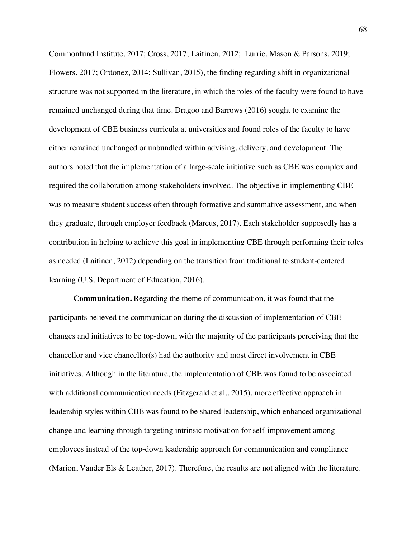Commonfund Institute, 2017; Cross, 2017; Laitinen, 2012; Lurrie, Mason & Parsons, 2019; Flowers, 2017; Ordonez, 2014; Sullivan, 2015), the finding regarding shift in organizational structure was not supported in the literature, in which the roles of the faculty were found to have remained unchanged during that time. Dragoo and Barrows (2016) sought to examine the development of CBE business curricula at universities and found roles of the faculty to have either remained unchanged or unbundled within advising, delivery, and development. The authors noted that the implementation of a large-scale initiative such as CBE was complex and required the collaboration among stakeholders involved. The objective in implementing CBE was to measure student success often through formative and summative assessment, and when they graduate, through employer feedback (Marcus, 2017). Each stakeholder supposedly has a contribution in helping to achieve this goal in implementing CBE through performing their roles as needed (Laitinen, 2012) depending on the transition from traditional to student-centered learning (U.S. Department of Education, 2016).

**Communication.** Regarding the theme of communication, it was found that the participants believed the communication during the discussion of implementation of CBE changes and initiatives to be top-down, with the majority of the participants perceiving that the chancellor and vice chancellor(s) had the authority and most direct involvement in CBE initiatives. Although in the literature, the implementation of CBE was found to be associated with additional communication needs (Fitzgerald et al., 2015), more effective approach in leadership styles within CBE was found to be shared leadership, which enhanced organizational change and learning through targeting intrinsic motivation for self-improvement among employees instead of the top-down leadership approach for communication and compliance (Marion, Vander Els & Leather, 2017). Therefore, the results are not aligned with the literature.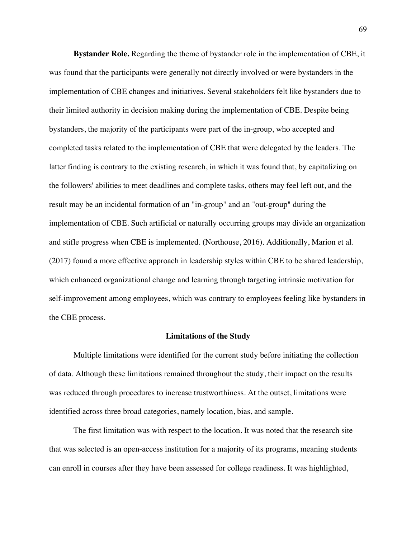**Bystander Role.** Regarding the theme of bystander role in the implementation of CBE, it was found that the participants were generally not directly involved or were bystanders in the implementation of CBE changes and initiatives. Several stakeholders felt like bystanders due to their limited authority in decision making during the implementation of CBE. Despite being bystanders, the majority of the participants were part of the in-group, who accepted and completed tasks related to the implementation of CBE that were delegated by the leaders. The latter finding is contrary to the existing research, in which it was found that, by capitalizing on the followers' abilities to meet deadlines and complete tasks, others may feel left out, and the result may be an incidental formation of an "in-group" and an "out-group" during the implementation of CBE. Such artificial or naturally occurring groups may divide an organization and stifle progress when CBE is implemented. (Northouse, 2016). Additionally, Marion et al. (2017) found a more effective approach in leadership styles within CBE to be shared leadership, which enhanced organizational change and learning through targeting intrinsic motivation for self-improvement among employees, which was contrary to employees feeling like bystanders in the CBE process.

## **Limitations of the Study**

Multiple limitations were identified for the current study before initiating the collection of data. Although these limitations remained throughout the study, their impact on the results was reduced through procedures to increase trustworthiness. At the outset, limitations were identified across three broad categories, namely location, bias, and sample.

The first limitation was with respect to the location. It was noted that the research site that was selected is an open-access institution for a majority of its programs, meaning students can enroll in courses after they have been assessed for college readiness. It was highlighted,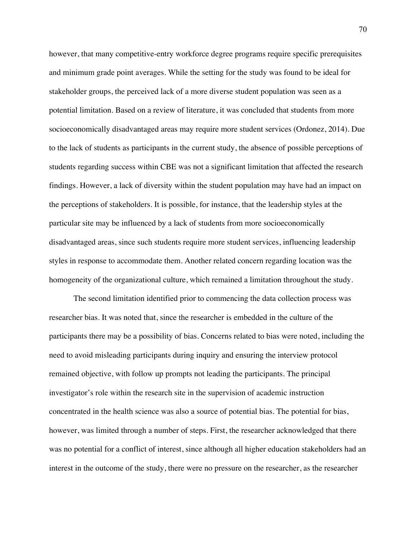however, that many competitive-entry workforce degree programs require specific prerequisites and minimum grade point averages. While the setting for the study was found to be ideal for stakeholder groups, the perceived lack of a more diverse student population was seen as a potential limitation. Based on a review of literature, it was concluded that students from more socioeconomically disadvantaged areas may require more student services (Ordonez, 2014). Due to the lack of students as participants in the current study, the absence of possible perceptions of students regarding success within CBE was not a significant limitation that affected the research findings. However, a lack of diversity within the student population may have had an impact on the perceptions of stakeholders. It is possible, for instance, that the leadership styles at the particular site may be influenced by a lack of students from more socioeconomically disadvantaged areas, since such students require more student services, influencing leadership styles in response to accommodate them. Another related concern regarding location was the homogeneity of the organizational culture, which remained a limitation throughout the study.

The second limitation identified prior to commencing the data collection process was researcher bias. It was noted that, since the researcher is embedded in the culture of the participants there may be a possibility of bias. Concerns related to bias were noted, including the need to avoid misleading participants during inquiry and ensuring the interview protocol remained objective, with follow up prompts not leading the participants. The principal investigator's role within the research site in the supervision of academic instruction concentrated in the health science was also a source of potential bias. The potential for bias, however, was limited through a number of steps. First, the researcher acknowledged that there was no potential for a conflict of interest, since although all higher education stakeholders had an interest in the outcome of the study, there were no pressure on the researcher, as the researcher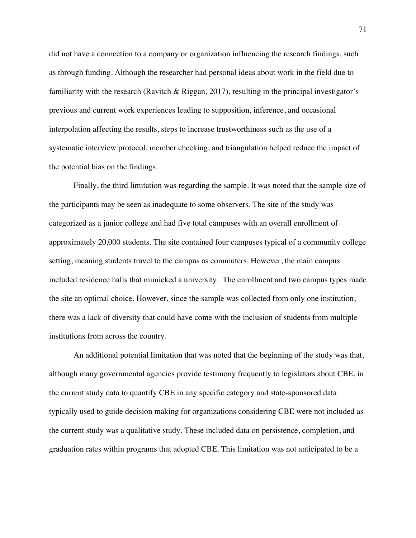did not have a connection to a company or organization influencing the research findings, such as through funding. Although the researcher had personal ideas about work in the field due to familiarity with the research (Ravitch & Riggan, 2017), resulting in the principal investigator's previous and current work experiences leading to supposition, inference, and occasional interpolation affecting the results, steps to increase trustworthiness such as the use of a systematic interview protocol, member checking, and triangulation helped reduce the impact of the potential bias on the findings.

Finally, the third limitation was regarding the sample. It was noted that the sample size of the participants may be seen as inadequate to some observers. The site of the study was categorized as a junior college and had five total campuses with an overall enrollment of approximately 20,000 students. The site contained four campuses typical of a community college setting, meaning students travel to the campus as commuters. However, the main campus included residence halls that mimicked a university. The enrollment and two campus types made the site an optimal choice. However, since the sample was collected from only one institution, there was a lack of diversity that could have come with the inclusion of students from multiple institutions from across the country.

An additional potential limitation that was noted that the beginning of the study was that, although many governmental agencies provide testimony frequently to legislators about CBE, in the current study data to quantify CBE in any specific category and state-sponsored data typically used to guide decision making for organizations considering CBE were not included as the current study was a qualitative study. These included data on persistence, completion, and graduation rates within programs that adopted CBE. This limitation was not anticipated to be a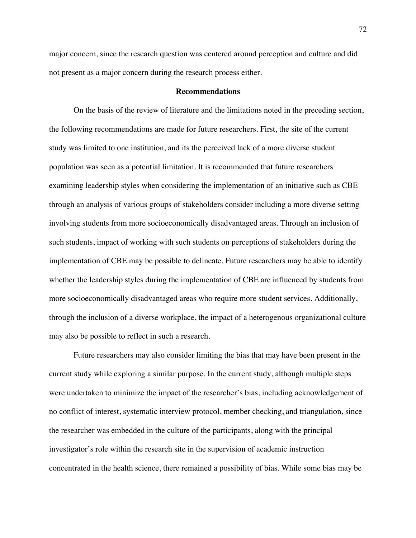major concern, since the research question was centered around perception and culture and did not present as a major concern during the research process either.

### **Recommendations**

On the basis of the review of literature and the limitations noted in the preceding section, the following recommendations are made for future researchers. First, the site of the current study was limited to one institution, and its the perceived lack of a more diverse student population was seen as a potential limitation. It is recommended that future researchers examining leadership styles when considering the implementation of an initiative such as CBE through an analysis of various groups of stakeholders consider including a more diverse setting involving students from more socioeconomically disadvantaged areas. Through an inclusion of such students, impact of working with such students on perceptions of stakeholders during the implementation of CBE may be possible to delineate. Future researchers may be able to identify whether the leadership styles during the implementation of CBE are influenced by students from more socioeconomically disadvantaged areas who require more student services. Additionally, through the inclusion of a diverse workplace, the impact of a heterogenous organizational culture may also be possible to reflect in such a research.

Future researchers may also consider limiting the bias that may have been present in the current study while exploring a similar purpose. In the current study, although multiple steps were undertaken to minimize the impact of the researcher's bias, including acknowledgement of no conflict of interest, systematic interview protocol, member checking, and triangulation, since the researcher was embedded in the culture of the participants, along with the principal investigator's role within the research site in the supervision of academic instruction concentrated in the health science, there remained a possibility of bias. While some bias may be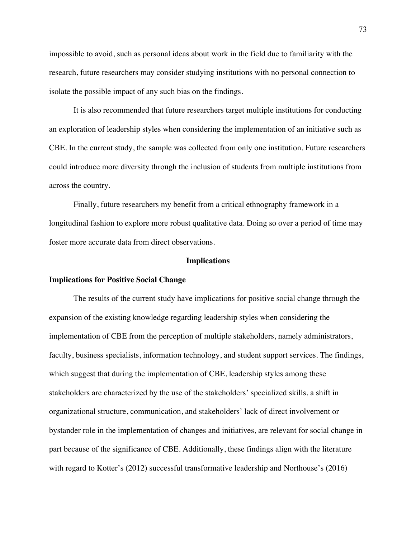impossible to avoid, such as personal ideas about work in the field due to familiarity with the research, future researchers may consider studying institutions with no personal connection to isolate the possible impact of any such bias on the findings.

It is also recommended that future researchers target multiple institutions for conducting an exploration of leadership styles when considering the implementation of an initiative such as CBE. In the current study, the sample was collected from only one institution. Future researchers could introduce more diversity through the inclusion of students from multiple institutions from across the country.

Finally, future researchers my benefit from a critical ethnography framework in a longitudinal fashion to explore more robust qualitative data. Doing so over a period of time may foster more accurate data from direct observations.

## **Implications**

## **Implications for Positive Social Change**

The results of the current study have implications for positive social change through the expansion of the existing knowledge regarding leadership styles when considering the implementation of CBE from the perception of multiple stakeholders, namely administrators, faculty, business specialists, information technology, and student support services. The findings, which suggest that during the implementation of CBE, leadership styles among these stakeholders are characterized by the use of the stakeholders' specialized skills, a shift in organizational structure, communication, and stakeholders' lack of direct involvement or bystander role in the implementation of changes and initiatives, are relevant for social change in part because of the significance of CBE. Additionally, these findings align with the literature with regard to Kotter's (2012) successful transformative leadership and Northouse's (2016)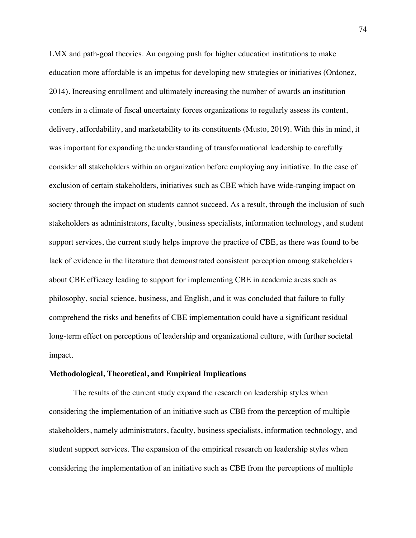LMX and path-goal theories. An ongoing push for higher education institutions to make education more affordable is an impetus for developing new strategies or initiatives (Ordonez, 2014). Increasing enrollment and ultimately increasing the number of awards an institution confers in a climate of fiscal uncertainty forces organizations to regularly assess its content, delivery, affordability, and marketability to its constituents (Musto, 2019). With this in mind, it was important for expanding the understanding of transformational leadership to carefully consider all stakeholders within an organization before employing any initiative. In the case of exclusion of certain stakeholders, initiatives such as CBE which have wide-ranging impact on society through the impact on students cannot succeed. As a result, through the inclusion of such stakeholders as administrators, faculty, business specialists, information technology, and student support services, the current study helps improve the practice of CBE, as there was found to be lack of evidence in the literature that demonstrated consistent perception among stakeholders about CBE efficacy leading to support for implementing CBE in academic areas such as philosophy, social science, business, and English, and it was concluded that failure to fully comprehend the risks and benefits of CBE implementation could have a significant residual long-term effect on perceptions of leadership and organizational culture, with further societal impact.

#### **Methodological, Theoretical, and Empirical Implications**

The results of the current study expand the research on leadership styles when considering the implementation of an initiative such as CBE from the perception of multiple stakeholders, namely administrators, faculty, business specialists, information technology, and student support services. The expansion of the empirical research on leadership styles when considering the implementation of an initiative such as CBE from the perceptions of multiple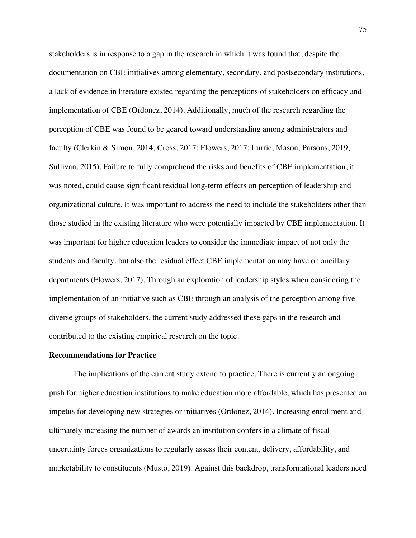stakeholders is in response to a gap in the research in which it was found that, despite the documentation on CBE initiatives among elementary, secondary, and postsecondary institutions, a lack of evidence in literature existed regarding the perceptions of stakeholders on efficacy and implementation of CBE (Ordonez, 2014). Additionally, much of the research regarding the perception of CBE was found to be geared toward understanding among administrators and faculty (Clerkin & Simon, 2014; Cross, 2017; Flowers, 2017; Lurrie, Mason, Parsons, 2019; Sullivan, 2015). Failure to fully comprehend the risks and benefits of CBE implementation, it was noted, could cause significant residual long-term effects on perception of leadership and organizational culture. It was important to address the need to include the stakeholders other than those studied in the existing literature who were potentially impacted by CBE implementation. It was important for higher education leaders to consider the immediate impact of not only the students and faculty, but also the residual effect CBE implementation may have on ancillary departments (Flowers, 2017). Through an exploration of leadership styles when considering the implementation of an initiative such as CBE through an analysis of the perception among five diverse groups of stakeholders, the current study addressed these gaps in the research and contributed to the existing empirical research on the topic.

#### **Recommendations for Practice**

The implications of the current study extend to practice. There is currently an ongoing push for higher education institutions to make education more affordable, which has presented an impetus for developing new strategies or initiatives (Ordonez, 2014). Increasing enrollment and ultimately increasing the number of awards an institution confers in a climate of fiscal uncertainty forces organizations to regularly assess their content, delivery, affordability, and marketability to constituents (Musto, 2019). Against this backdrop, transformational leaders need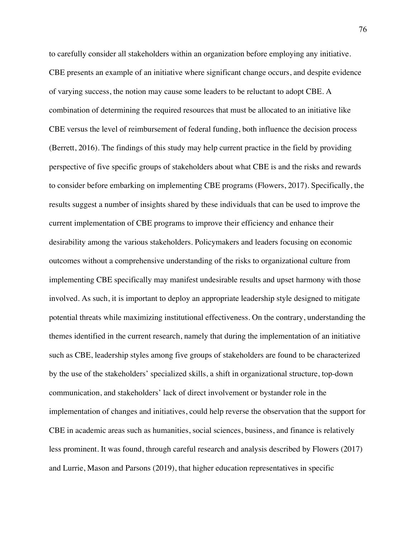to carefully consider all stakeholders within an organization before employing any initiative. CBE presents an example of an initiative where significant change occurs, and despite evidence of varying success, the notion may cause some leaders to be reluctant to adopt CBE. A combination of determining the required resources that must be allocated to an initiative like CBE versus the level of reimbursement of federal funding, both influence the decision process (Berrett, 2016). The findings of this study may help current practice in the field by providing perspective of five specific groups of stakeholders about what CBE is and the risks and rewards to consider before embarking on implementing CBE programs (Flowers, 2017). Specifically, the results suggest a number of insights shared by these individuals that can be used to improve the current implementation of CBE programs to improve their efficiency and enhance their desirability among the various stakeholders. Policymakers and leaders focusing on economic outcomes without a comprehensive understanding of the risks to organizational culture from implementing CBE specifically may manifest undesirable results and upset harmony with those involved. As such, it is important to deploy an appropriate leadership style designed to mitigate potential threats while maximizing institutional effectiveness. On the contrary, understanding the themes identified in the current research, namely that during the implementation of an initiative such as CBE, leadership styles among five groups of stakeholders are found to be characterized by the use of the stakeholders' specialized skills, a shift in organizational structure, top-down communication, and stakeholders' lack of direct involvement or bystander role in the implementation of changes and initiatives, could help reverse the observation that the support for CBE in academic areas such as humanities, social sciences, business, and finance is relatively less prominent. It was found, through careful research and analysis described by Flowers (2017) and Lurrie, Mason and Parsons (2019), that higher education representatives in specific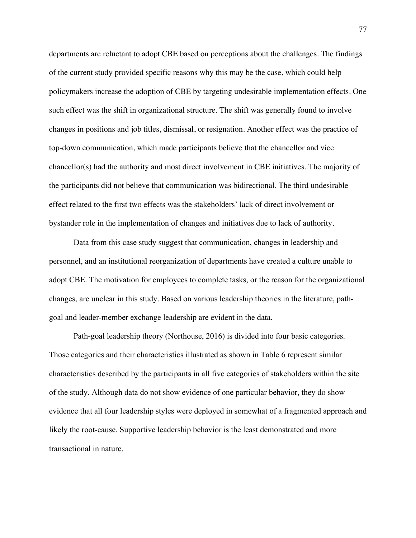departments are reluctant to adopt CBE based on perceptions about the challenges. The findings of the current study provided specific reasons why this may be the case, which could help policymakers increase the adoption of CBE by targeting undesirable implementation effects. One such effect was the shift in organizational structure. The shift was generally found to involve changes in positions and job titles, dismissal, or resignation. Another effect was the practice of top-down communication, which made participants believe that the chancellor and vice chancellor(s) had the authority and most direct involvement in CBE initiatives. The majority of the participants did not believe that communication was bidirectional. The third undesirable effect related to the first two effects was the stakeholders' lack of direct involvement or bystander role in the implementation of changes and initiatives due to lack of authority.

Data from this case study suggest that communication, changes in leadership and personnel, and an institutional reorganization of departments have created a culture unable to adopt CBE. The motivation for employees to complete tasks, or the reason for the organizational changes, are unclear in this study. Based on various leadership theories in the literature, pathgoal and leader-member exchange leadership are evident in the data.

Path-goal leadership theory (Northouse, 2016) is divided into four basic categories. Those categories and their characteristics illustrated as shown in Table 6 represent similar characteristics described by the participants in all five categories of stakeholders within the site of the study. Although data do not show evidence of one particular behavior, they do show evidence that all four leadership styles were deployed in somewhat of a fragmented approach and likely the root-cause. Supportive leadership behavior is the least demonstrated and more transactional in nature.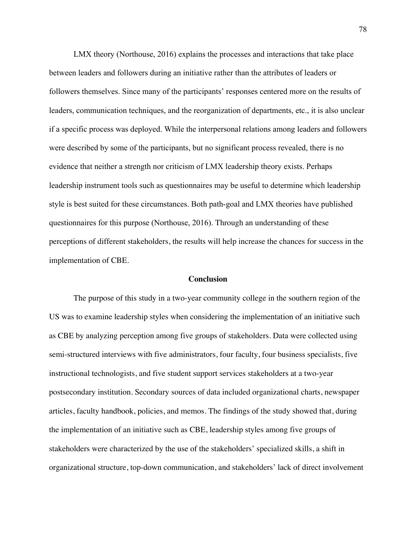LMX theory (Northouse, 2016) explains the processes and interactions that take place between leaders and followers during an initiative rather than the attributes of leaders or followers themselves. Since many of the participants' responses centered more on the results of leaders, communication techniques, and the reorganization of departments, etc., it is also unclear if a specific process was deployed. While the interpersonal relations among leaders and followers were described by some of the participants, but no significant process revealed, there is no evidence that neither a strength nor criticism of LMX leadership theory exists. Perhaps leadership instrument tools such as questionnaires may be useful to determine which leadership style is best suited for these circumstances. Both path-goal and LMX theories have published questionnaires for this purpose (Northouse, 2016). Through an understanding of these perceptions of different stakeholders, the results will help increase the chances for success in the implementation of CBE.

#### **Conclusion**

The purpose of this study in a two-year community college in the southern region of the US was to examine leadership styles when considering the implementation of an initiative such as CBE by analyzing perception among five groups of stakeholders. Data were collected using semi-structured interviews with five administrators, four faculty, four business specialists, five instructional technologists, and five student support services stakeholders at a two-year postsecondary institution. Secondary sources of data included organizational charts, newspaper articles, faculty handbook, policies, and memos. The findings of the study showed that, during the implementation of an initiative such as CBE, leadership styles among five groups of stakeholders were characterized by the use of the stakeholders' specialized skills, a shift in organizational structure, top-down communication, and stakeholders' lack of direct involvement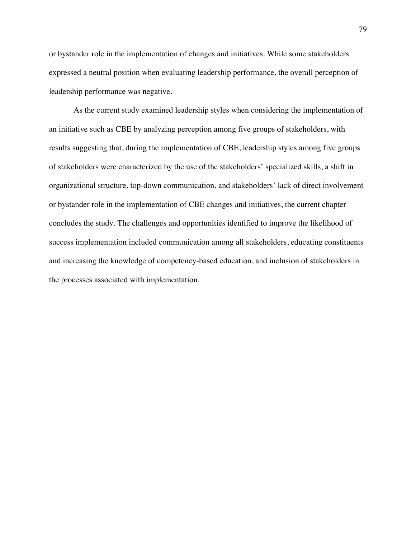or bystander role in the implementation of changes and initiatives. While some stakeholders expressed a neutral position when evaluating leadership performance, the overall perception of leadership performance was negative.

As the current study examined leadership styles when considering the implementation of an initiative such as CBE by analyzing perception among five groups of stakeholders, with results suggesting that, during the implementation of CBE, leadership styles among five groups of stakeholders were characterized by the use of the stakeholders' specialized skills, a shift in organizational structure, top-down communication, and stakeholders' lack of direct involvement or bystander role in the implementation of CBE changes and initiatives, the current chapter concludes the study. The challenges and opportunities identified to improve the likelihood of success implementation included communication among all stakeholders, educating constituents and increasing the knowledge of competency-based education, and inclusion of stakeholders in the processes associated with implementation.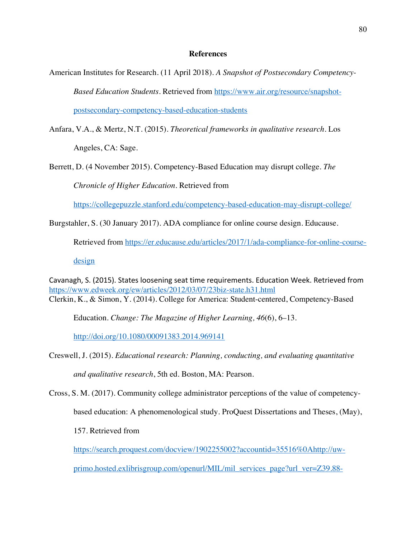## **References**

American Institutes for Research. (11 April 2018). *A Snapshot of Postsecondary Competency-Based Education Students*. Retrieved from https://www.air.org/resource/snapshotpostsecondary-competency-based-education-students

Anfara, V.A., & Mertz, N.T. (2015). *Theoretical frameworks in qualitative research*. Los Angeles, CA: Sage.

Berrett, D. (4 November 2015). Competency-Based Education may disrupt college. *The Chronicle of Higher Education*. Retrieved from

https://collegepuzzle.stanford.edu/competency-based-education-may-disrupt-college/

Burgstahler, S. (30 January 2017). ADA compliance for online course design. Educause.

Retrieved from https://er.educause.edu/articles/2017/1/ada-compliance-for-online-course-

design

Cavanagh, S. (2015). States loosening seat time requirements. Education Week. Retrieved from https://www.edweek.org/ew/articles/2012/03/07/23biz-state.h31.html Clerkin, K., & Simon, Y. (2014). College for America: Student-centered, Competency-Based

Education. *Change: The Magazine of Higher Learning, 46*(6), 6–13.

http://doi.org/10.1080/00091383.2014.969141

primo.hosted.exlibrisgroup.com/openurl/MIL/mil\_services\_page?url\_ver=Z39.88-

Creswell, J. (2015). *Educational research: Planning, conducting, and evaluating quantitative and qualitative research*, 5th ed. Boston, MA: Pearson.

Cross, S. M. (2017). Community college administrator perceptions of the value of competencybased education: A phenomenological study. ProQuest Dissertations and Theses, (May), 157. Retrieved from https://search.proquest.com/docview/1902255002?accountid=35516%0Ahttp://uw-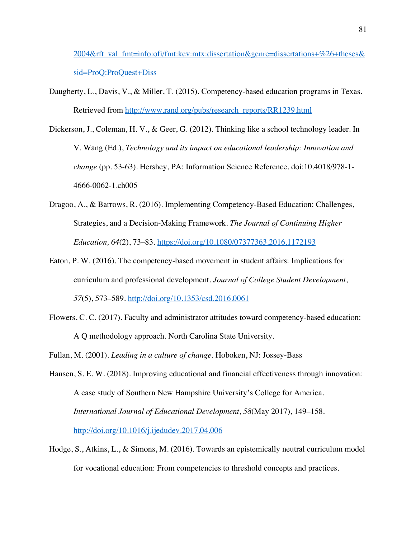2004&rft\_val\_fmt=info:ofi/fmt:kev:mtx:dissertation&genre=dissertations+%26+theses& sid=ProQ:ProQuest+Diss

Daugherty, L., Davis, V., & Miller, T. (2015). Competency-based education programs in Texas. Retrieved from http://www.rand.org/pubs/research\_reports/RR1239.html

Dickerson, J., Coleman, H. V., & Geer, G. (2012). Thinking like a school technology leader. In V. Wang (Ed.), *Technology and its impact on educational leadership: Innovation and change* (pp. 53-63). Hershey, PA: Information Science Reference. doi:10.4018/978-1- 4666-0062-1.ch005

- Dragoo, A., & Barrows, R. (2016). Implementing Competency-Based Education: Challenges, Strategies, and a Decision-Making Framework. *The Journal of Continuing Higher Education, 64*(2), 73–83. https://doi.org/10.1080/07377363.2016.1172193
- Eaton, P. W. (2016). The competency-based movement in student affairs: Implications for curriculum and professional development. *Journal of College Student Development*, *57*(5), 573–589. http://doi.org/10.1353/csd.2016.0061
- Flowers, C. C. (2017). Faculty and administrator attitudes toward competency-based education: A Q methodology approach. North Carolina State University.

Fullan, M. (2001). *Leading in a culture of change*. Hoboken, NJ: Jossey-Bass

- Hansen, S. E. W. (2018). Improving educational and financial effectiveness through innovation: A case study of Southern New Hampshire University's College for America. *International Journal of Educational Development, 58*(May 2017), 149–158. http://doi.org/10.1016/j.ijedudev.2017.04.006
- Hodge, S., Atkins, L., & Simons, M. (2016). Towards an epistemically neutral curriculum model for vocational education: From competencies to threshold concepts and practices.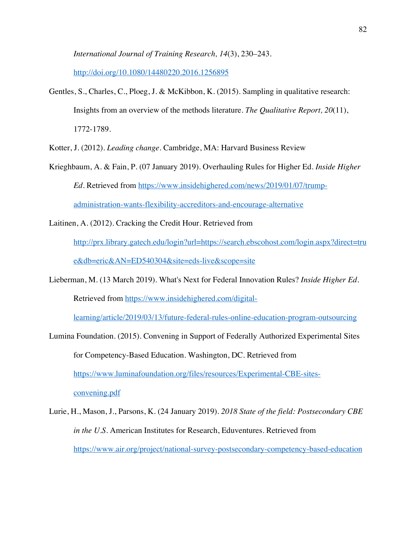*International Journal of Training Research, 14*(3), 230–243.

http://doi.org/10.1080/14480220.2016.1256895

Gentles, S., Charles, C., Ploeg, J. & McKibbon, K. (2015). Sampling in qualitative research: Insights from an overview of the methods literature. *The Qualitative Report, 20*(11), 1772-1789.

Kotter, J. (2012). *Leading change.* Cambridge, MA: Harvard Business Review

- Krieghbaum, A. & Fain, P. (07 January 2019). Overhauling Rules for Higher Ed. *Inside Higher Ed.* Retrieved from https://www.insidehighered.com/news/2019/01/07/trumpadministration-wants-flexibility-accreditors-and-encourage-alternative
- Laitinen, A. (2012). Cracking the Credit Hour. Retrieved from http://prx.library.gatech.edu/login?url=https://search.ebscohost.com/login.aspx?direct=tru e&db=eric&AN=ED540304&site=eds-live&scope=site
- Lieberman, M. (13 March 2019). What's Next for Federal Innovation Rules? *Inside Higher Ed*. Retrieved from https://www.insidehighered.com/digital-

learning/article/2019/03/13/future-federal-rules-online-education-program-outsourcing

- Lumina Foundation. (2015). Convening in Support of Federally Authorized Experimental Sites for Competency-Based Education. Washington, DC. Retrieved from https://www.luminafoundation.org/files/resources/Experimental-CBE-sitesconvening.pdf
- Lurie, H., Mason, J., Parsons, K. (24 January 2019). *2018 State of the field: Postsecondary CBE in the U.S.* American Institutes for Research, Eduventures. Retrieved from https://www.air.org/project/national-survey-postsecondary-competency-based-education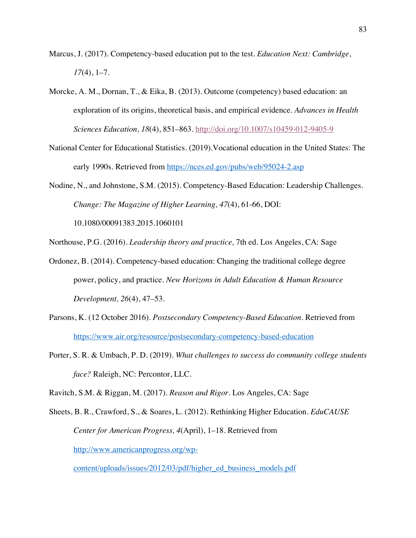- Marcus, J. (2017). Competency-based education put to the test. *Education Next: Cambridge*, *17*(4), 1–7.
- Morcke, A. M., Dornan, T., & Eika, B. (2013). Outcome (competency) based education: an exploration of its origins, theoretical basis, and empirical evidence. *Advances in Health Sciences Education, 18*(4), 851–863. http://doi.org/10.1007/s10459-012-9405-9
- National Center for Educational Statistics. (2019).Vocational education in the United States: The early 1990s. Retrieved from https://nces.ed.gov/pubs/web/95024-2.asp
- Nodine, N., and Johnstone, S.M. (2015). Competency-Based Education: Leadership Challenges. *Change: The Magazine of Higher Learning, 47*(4), 61-66, DOI:

10.1080/00091383.2015.1060101

Northouse, P.G. (2016). *Leadership theory and practice,* 7th ed. Los Angeles, CA: Sage

- Ordonez, B. (2014). Competency-based education: Changing the traditional college degree power, policy, and practice. *New Horizons in Adult Education & Human Resource Development, 26*(4), 47–53.
- Parsons, K. (12 October 2016). *Postsecondary Competency-Based Education.* Retrieved from https://www.air.org/resource/postsecondary-competency-based-education
- Porter, S. R. & Umbach, P. D. (2019). *What challenges to success do community college students face?* Raleigh, NC: Percontor, LLC.

Ravitch, S.M. & Riggan, M. (2017). *Reason and Rigor*. Los Angeles, CA: Sage

Sheets, B. R., Crawford, S., & Soares, L. (2012). Rethinking Higher Education. *EduCAUSE Center for American Progress, 4*(April), 1–18. Retrieved from http://www.americanprogress.org/wp-

content/uploads/issues/2012/03/pdf/higher\_ed\_business\_models.pdf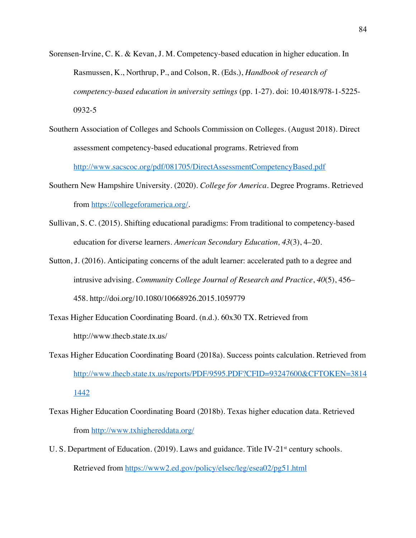- Sorensen-Irvine, C. K. & Kevan, J. M. Competency-based education in higher education. In Rasmussen, K., Northrup, P., and Colson, R. (Eds.), *Handbook of research of competency-based education in university settings* (pp. 1-27). doi: 10.4018/978-1-5225- 0932-5
- Southern Association of Colleges and Schools Commission on Colleges. (August 2018). Direct assessment competency-based educational programs. Retrieved from

http://www.sacscoc.org/pdf/081705/DirectAssessmentCompetencyBased.pdf

- Southern New Hampshire University. (2020). *College for America*. Degree Programs. Retrieved from https://collegeforamerica.org/.
- Sullivan, S. C. (2015). Shifting educational paradigms: From traditional to competency-based education for diverse learners. *American Secondary Education, 43*(3), 4–20.
- Sutton, J. (2016). Anticipating concerns of the adult learner: accelerated path to a degree and intrusive advising. *Community College Journal of Research and Practice*, *40*(5), 456– 458. http://doi.org/10.1080/10668926.2015.1059779
- Texas Higher Education Coordinating Board. (n.d.). 60x30 TX. Retrieved from http://www.thecb.state.tx.us/
- Texas Higher Education Coordinating Board (2018a). Success points calculation. Retrieved from http://www.thecb.state.tx.us/reports/PDF/9595.PDF?CFID=93247600&CFTOKEN=3814 1442
- Texas Higher Education Coordinating Board (2018b). Texas higher education data. Retrieved from http://www.txhighereddata.org/
- U. S. Department of Education. (2019). Laws and guidance. Title IV-21<sup>st</sup> century schools. Retrieved from https://www2.ed.gov/policy/elsec/leg/esea02/pg51.html